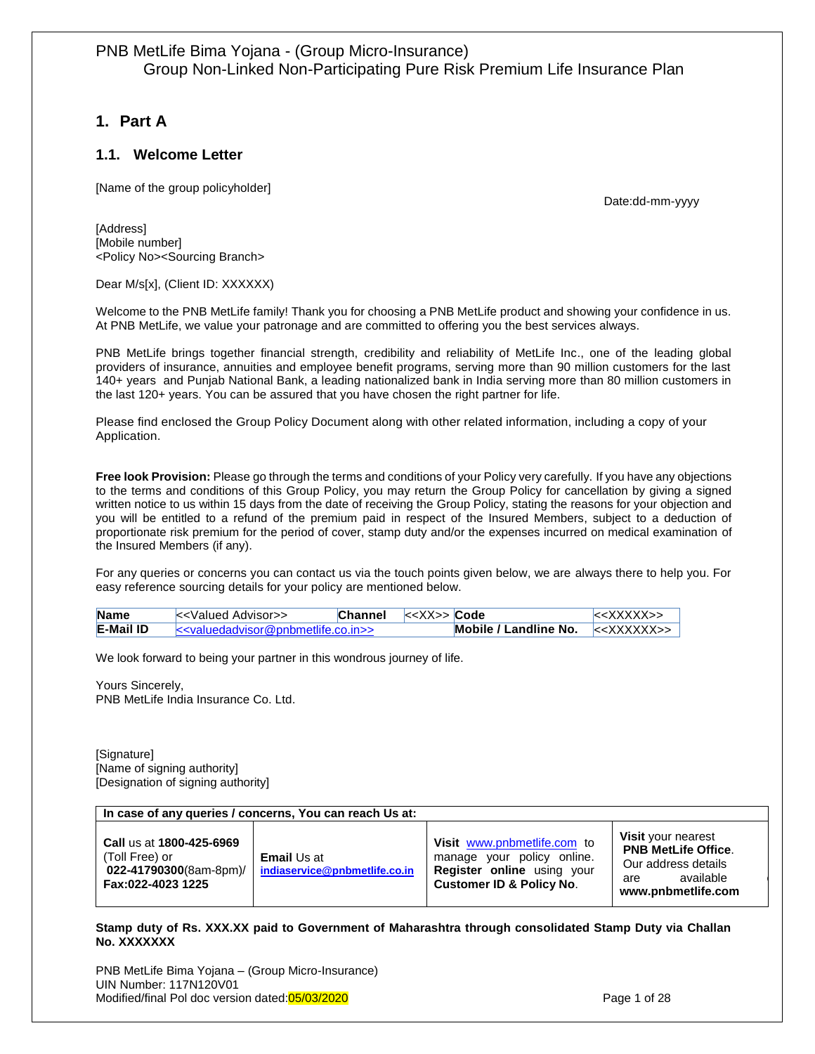# <span id="page-0-0"></span>**1. Part A**

## <span id="page-0-1"></span>**1.1. Welcome Letter**

[Name of the group policyholder]

Date:dd-mm-yyyy

[Address] [Mobile number] <Policy No><Sourcing Branch>

#### Dear M/s[x], (Client ID: XXXXXX)

Welcome to the PNB MetLife family! Thank you for choosing a PNB MetLife product and showing your confidence in us. At PNB MetLife, we value your patronage and are committed to offering you the best services always.

PNB MetLife brings together financial strength, credibility and reliability of MetLife Inc., one of the leading global providers of insurance, annuities and employee benefit programs, serving more than 90 million customers for the last 140+ years and Punjab National Bank, a leading nationalized bank in India serving more than 80 million customers in the last 120+ years. You can be assured that you have chosen the right partner for life.

Please find enclosed the Group Policy Document along with other related information, including a copy of your Application.

**Free look Provision:** Please go through the terms and conditions of your Policy very carefully. If you have any objections to the terms and conditions of this Group Policy, you may return the Group Policy for cancellation by giving a signed written notice to us within 15 days from the date of receiving the Group Policy, stating the reasons for your objection and you will be entitled to a refund of the premium paid in respect of the Insured Members, subject to a deduction of proportionate risk premium for the period of cover, stamp duty and/or the expenses incurred on medical examination of the Insured Members (if any).

For any queries or concerns you can contact us via the touch points given below, we are always there to help you. For easy reference sourcing details for your policy are mentioned below.

| <b>Name</b>      | k - Valued Advisor                                           | Channel |                       | $&\lt<$ XXXXX>> |
|------------------|--------------------------------------------------------------|---------|-----------------------|-----------------|
| <b>E-Mail ID</b> | $\le$ $\le$ $\vee$ alued advisor @ pn b metlife.co. in $\ge$ |         | Mobile / Landline No. |                 |

We look forward to being your partner in this wondrous journey of life.

Yours Sincerely, PNB MetLife India Insurance Co. Ltd.

[Signature] [Name of signing authority] [Designation of signing authority]

#### **In case of any queries / concerns, You can reach Us at:**

| Call us at 1800-425-6969<br>(Toll Free) or<br>022-41790300(8am-8pm)/<br>Fax:022-4023 1225 | <b>Email Us at</b><br>indiaservice@pnbmetlife.co.in | Visit www.pnbmetlife.com to<br>manage your policy online.<br><b>Register online</b> using your<br><b>Customer ID &amp; Policy No.</b> | <b>Visit</b> your nearest<br><b>PNB MetLife Office.</b><br>Our address details<br>available<br>are<br>www.pnbmetlife.com |
|-------------------------------------------------------------------------------------------|-----------------------------------------------------|---------------------------------------------------------------------------------------------------------------------------------------|--------------------------------------------------------------------------------------------------------------------------|
|-------------------------------------------------------------------------------------------|-----------------------------------------------------|---------------------------------------------------------------------------------------------------------------------------------------|--------------------------------------------------------------------------------------------------------------------------|

**Stamp duty of Rs. XXX.XX paid to Government of Maharashtra through consolidated Stamp Duty via Challan No. XXXXXXX**

PNB MetLife Bima Yojana – (Group Micro-Insurance) UIN Number: 117N120V01 Modified/final Pol doc version dated:05/03/2020 **Page 1** of 28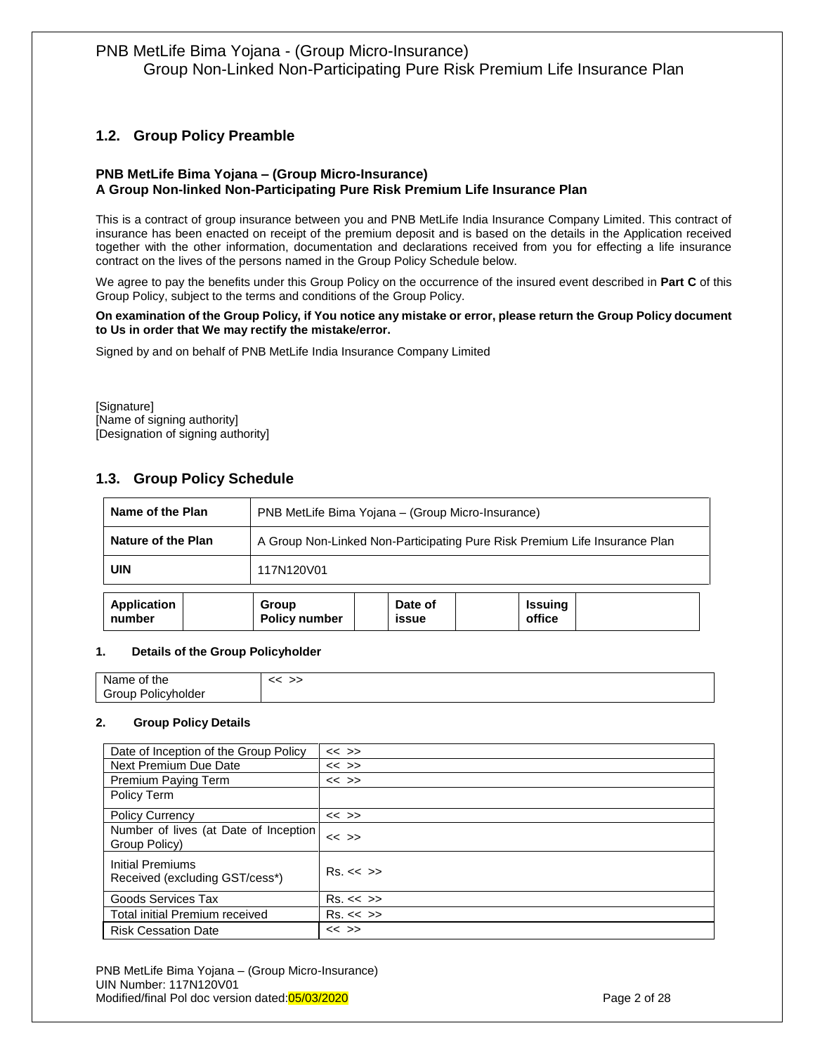# <span id="page-1-0"></span>**1.2. Group Policy Preamble**

#### **PNB MetLife Bima Yojana – (Group Micro-Insurance) A Group Non-linked Non-Participating Pure Risk Premium Life Insurance Plan**

This is a contract of group insurance between you and PNB MetLife India Insurance Company Limited. This contract of insurance has been enacted on receipt of the premium deposit and is based on the details in the Application received together with the other information, documentation and declarations received from you for effecting a life insurance contract on the lives of the persons named in the Group Policy Schedule below.

We agree to pay the benefits under this Group Policy on the occurrence of the insured event described in **Part C** of this Group Policy, subject to the terms and conditions of the Group Policy.

#### **On examination of the Group Policy, if You notice any mistake or error, please return the Group Policy document to Us in order that We may rectify the mistake/error.**

Signed by and on behalf of PNB MetLife India Insurance Company Limited

[Signature] [Name of signing authority] [Designation of signing authority]

## <span id="page-1-1"></span>**1.3. Group Policy Schedule**

| Name of the Plan             | PNB MetLife Bima Yojana - (Group Micro-Insurance)                          |                         |                          |  |
|------------------------------|----------------------------------------------------------------------------|-------------------------|--------------------------|--|
| Nature of the Plan           | A Group Non-Linked Non-Participating Pure Risk Premium Life Insurance Plan |                         |                          |  |
| <b>UIN</b>                   | 117N120V01                                                                 |                         |                          |  |
| <b>Application</b><br>number | Group<br><b>Policy number</b>                                              | Date of<br><b>issue</b> | <b>Issuing</b><br>office |  |

#### **1. Details of the Group Policyholder**

| Name,<br>the<br>οt    |  |
|-----------------------|--|
| Group<br>'olicyholder |  |

#### **2. Group Policy Details**

| Date of Inception of the Group Policy                  | $<<$ >>    |
|--------------------------------------------------------|------------|
| Next Premium Due Date                                  | $<<$ >>    |
| Premium Paying Term                                    | $<<$ >>    |
| Policy Term                                            |            |
| <b>Policy Currency</b>                                 | $<<$ >>    |
| Number of lives (at Date of Inception<br>Group Policy) | $<<$ >>    |
| Initial Premiums<br>Received (excluding GST/cess*)     | Rs. < < >> |
| Goods Services Tax                                     | Rs. < < >> |
| <b>Total initial Premium received</b>                  | Rs. << >>  |
| <b>Risk Cessation Date</b>                             | $<<$ >>    |

PNB MetLife Bima Yojana – (Group Micro-Insurance) UIN Number: 117N120V01 Modified/final Pol doc version dated:05/03/2020 **Page 2 of 28** Page 2 of 28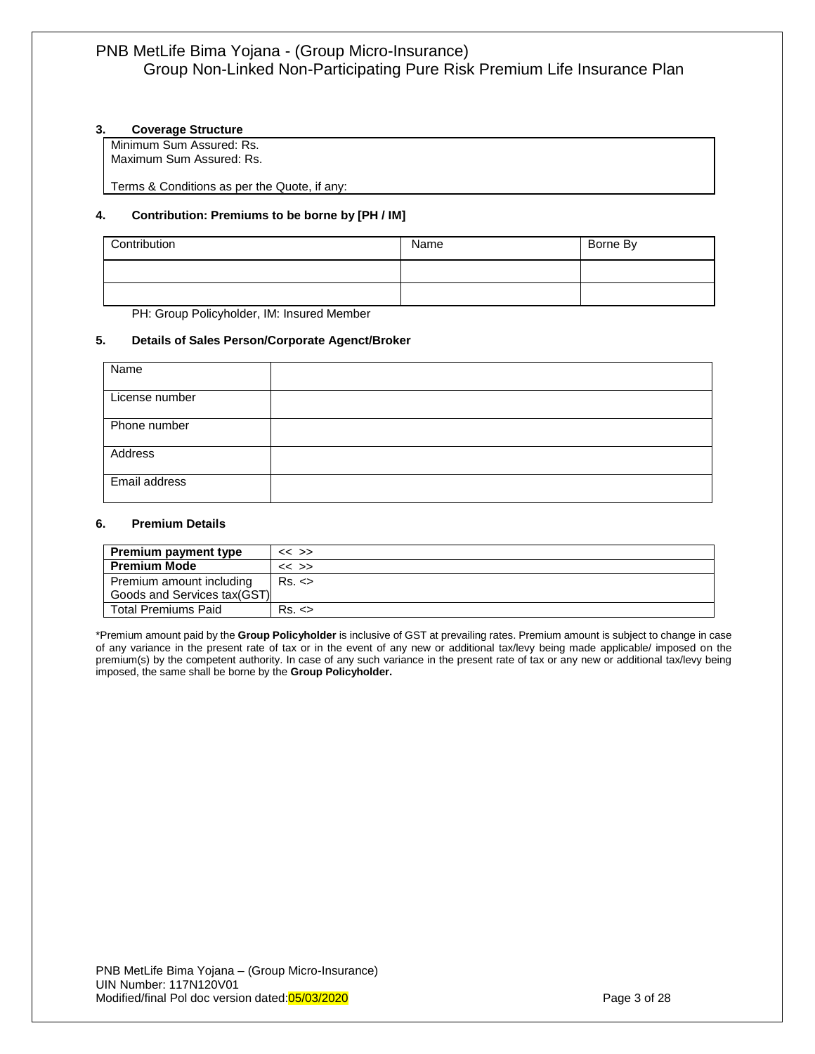#### **3. Coverage Structure**

Minimum Sum Assured: Rs. Maximum Sum Assured: Rs.

Terms & Conditions as per the Quote, if any:

#### **4. Contribution: Premiums to be borne by [PH / IM]**

| Contribution                                | Name | Borne By |
|---------------------------------------------|------|----------|
|                                             |      |          |
|                                             |      |          |
| DHI: Croup Dolioubolder, IM, Inqurad Mambor |      |          |

PH: Group Policyholder, IM: Insured Member

#### **5. Details of Sales Person/Corporate Agenct/Broker**

| Name           |  |
|----------------|--|
| License number |  |
| Phone number   |  |
| Address        |  |
| Email address  |  |

#### **6. Premium Details**

| <b>Premium payment type</b> | $<<$ >> |
|-----------------------------|---------|
| <b>Premium Mode</b>         | $<<$ >> |
| Premium amount including    | Rs. <   |
| Goods and Services tax(GST) |         |
| <b>Total Premiums Paid</b>  | Rs. <   |

\*Premium amount paid by the **Group Policyholder** is inclusive of GST at prevailing rates. Premium amount is subject to change in case of any variance in the present rate of tax or in the event of any new or additional tax/levy being made applicable/ imposed on the premium(s) by the competent authority. In case of any such variance in the present rate of tax or any new or additional tax/levy being imposed, the same shall be borne by the **Group Policyholder.**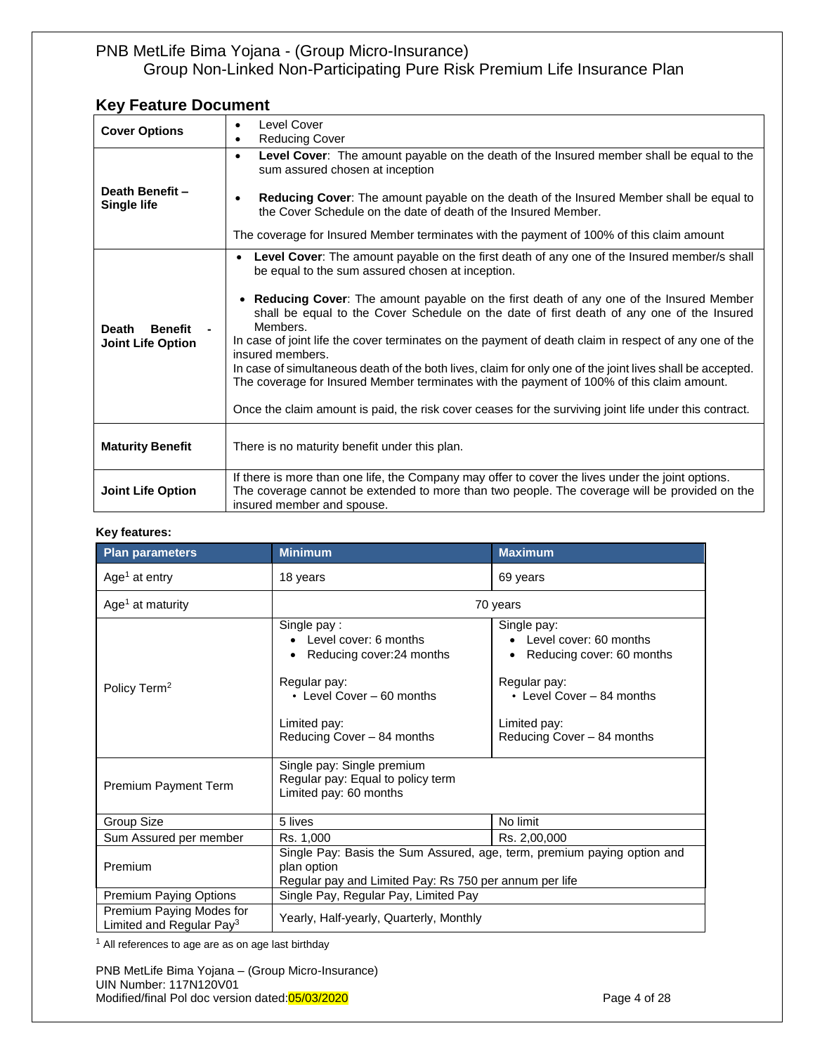# **Key Feature Document**

| <b>Cover Options</b>                                       | Level Cover<br><b>Reducing Cover</b><br>$\bullet$                                                                                                                                                                                                                                                                                                                                                                                                                                                                                                                                                                                                                                                                                                                                                     |
|------------------------------------------------------------|-------------------------------------------------------------------------------------------------------------------------------------------------------------------------------------------------------------------------------------------------------------------------------------------------------------------------------------------------------------------------------------------------------------------------------------------------------------------------------------------------------------------------------------------------------------------------------------------------------------------------------------------------------------------------------------------------------------------------------------------------------------------------------------------------------|
| Death Benefit-<br><b>Single life</b>                       | Level Cover: The amount payable on the death of the Insured member shall be equal to the<br>$\bullet$<br>sum assured chosen at inception<br>Reducing Cover: The amount payable on the death of the Insured Member shall be equal to<br>the Cover Schedule on the date of death of the Insured Member.<br>The coverage for Insured Member terminates with the payment of 100% of this claim amount                                                                                                                                                                                                                                                                                                                                                                                                     |
| <b>Benefit</b><br><b>Death</b><br><b>Joint Life Option</b> | Level Cover: The amount payable on the first death of any one of the Insured member/s shall<br>be equal to the sum assured chosen at inception.<br>• Reducing Cover: The amount payable on the first death of any one of the Insured Member<br>shall be equal to the Cover Schedule on the date of first death of any one of the Insured<br>Members.<br>In case of joint life the cover terminates on the payment of death claim in respect of any one of the<br>insured members.<br>In case of simultaneous death of the both lives, claim for only one of the joint lives shall be accepted.<br>The coverage for Insured Member terminates with the payment of 100% of this claim amount.<br>Once the claim amount is paid, the risk cover ceases for the surviving joint life under this contract. |
| <b>Maturity Benefit</b>                                    | There is no maturity benefit under this plan.                                                                                                                                                                                                                                                                                                                                                                                                                                                                                                                                                                                                                                                                                                                                                         |
| <b>Joint Life Option</b>                                   | If there is more than one life, the Company may offer to cover the lives under the joint options.<br>The coverage cannot be extended to more than two people. The coverage will be provided on the<br>insured member and spouse.                                                                                                                                                                                                                                                                                                                                                                                                                                                                                                                                                                      |

#### **Key features:**

| <b>Plan parameters</b>                                           | <b>Minimum</b>                                                                                                                                               | <b>Maximum</b>                                                                                                                                                |
|------------------------------------------------------------------|--------------------------------------------------------------------------------------------------------------------------------------------------------------|---------------------------------------------------------------------------------------------------------------------------------------------------------------|
| Age <sup>1</sup> at entry                                        | 18 years                                                                                                                                                     | 69 years                                                                                                                                                      |
| Age <sup>1</sup> at maturity                                     |                                                                                                                                                              | 70 years                                                                                                                                                      |
| Policy Term <sup>2</sup>                                         | Single pay:<br>Level cover: 6 months<br>Reducing cover: 24 months<br>Regular pay:<br>• Level Cover - 60 months<br>Limited pay:<br>Reducing Cover - 84 months | Single pay:<br>Level cover: 60 months<br>Reducing cover: 60 months<br>Regular pay:<br>• Level Cover - 84 months<br>Limited pay:<br>Reducing Cover - 84 months |
| Premium Payment Term                                             | Single pay: Single premium<br>Regular pay: Equal to policy term<br>Limited pay: 60 months                                                                    |                                                                                                                                                               |
| Group Size                                                       | 5 lives                                                                                                                                                      | No limit                                                                                                                                                      |
| Sum Assured per member                                           | Rs. 1,000                                                                                                                                                    | Rs. 2,00,000                                                                                                                                                  |
| Premium                                                          | Single Pay: Basis the Sum Assured, age, term, premium paying option and<br>plan option<br>Regular pay and Limited Pay: Rs 750 per annum per life             |                                                                                                                                                               |
| Premium Paying Options                                           | Single Pay, Regular Pay, Limited Pay                                                                                                                         |                                                                                                                                                               |
| Premium Paying Modes for<br>Limited and Regular Pay <sup>3</sup> | Yearly, Half-yearly, Quarterly, Monthly                                                                                                                      |                                                                                                                                                               |

 $1$  All references to age are as on age last birthday

PNB MetLife Bima Yojana – (Group Micro-Insurance) UIN Number: 117N120V01 Modified/final Pol doc version dated: 05/03/2020 **Page 4 of 28** Page 4 of 28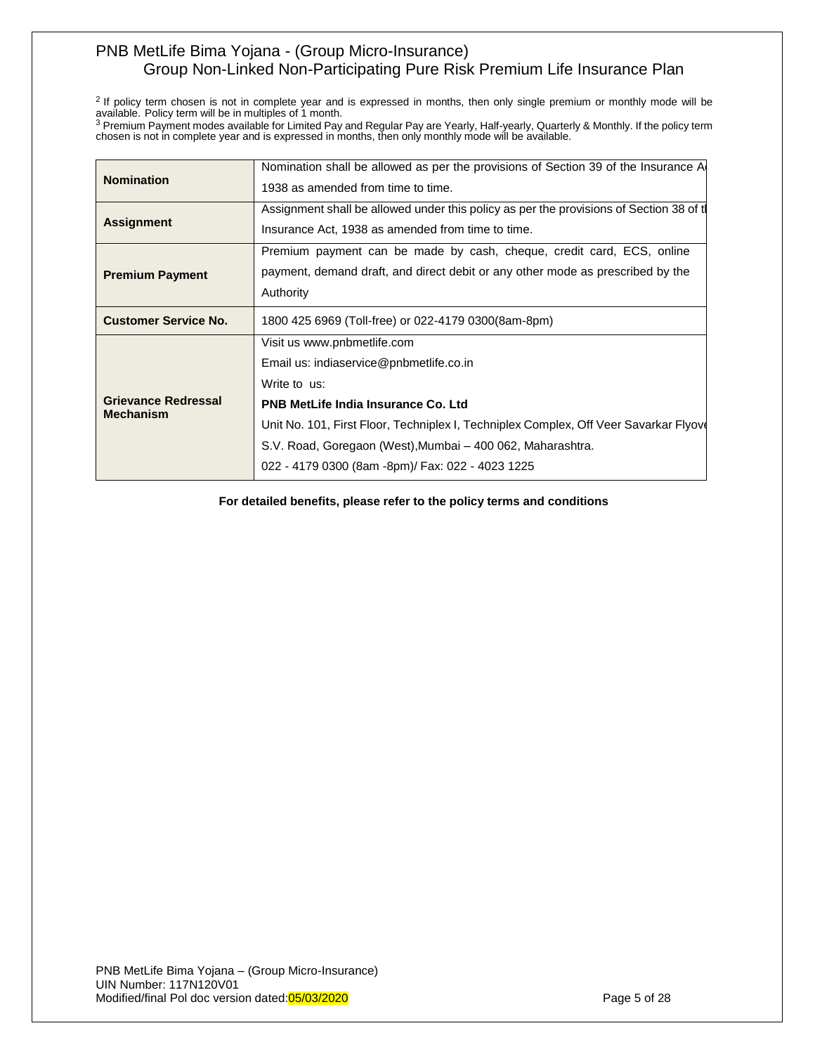$2$  If policy term chosen is not in complete year and is expressed in months, then only single premium or monthly mode will be available. Policy term will be in multiples of 1 month.<br><sup>3</sup> Premium Payment modes available for Limited Pay and Regular Pay are Yearly, Half-yearly, Quarterly & Monthly. If the policy term

chosen is not in complete year and is expressed in months, then only monthly mode will be available.

| <b>Nomination</b>                              | Nomination shall be allowed as per the provisions of Section 39 of the Insurance A     |
|------------------------------------------------|----------------------------------------------------------------------------------------|
|                                                | 1938 as amended from time to time.                                                     |
|                                                | Assignment shall be allowed under this policy as per the provisions of Section 38 of t |
| <b>Assignment</b>                              | Insurance Act, 1938 as amended from time to time.                                      |
|                                                | Premium payment can be made by cash, cheque, credit card, ECS, online                  |
| <b>Premium Payment</b>                         | payment, demand draft, and direct debit or any other mode as prescribed by the         |
|                                                | Authority                                                                              |
| <b>Customer Service No.</b>                    | 1800 425 6969 (Toll-free) or 022-4179 0300(8am-8pm)                                    |
|                                                | Visit us www.pnbmetlife.com                                                            |
|                                                | Email us: indiaservice@pnbmetlife.co.in                                                |
|                                                | Write to us:                                                                           |
| <b>Grievance Redressal</b><br><b>Mechanism</b> | <b>PNB MetLife India Insurance Co. Ltd</b>                                             |
|                                                | Unit No. 101, First Floor, Techniplex I, Techniplex Complex, Off Veer Savarkar Flyov   |
|                                                | S.V. Road, Goregaon (West), Mumbai - 400 062, Maharashtra.                             |
|                                                | 022 - 4179 0300 (8am -8pm)/ Fax: 022 - 4023 1225                                       |
|                                                |                                                                                        |

**For detailed benefits, please refer to the policy terms and conditions**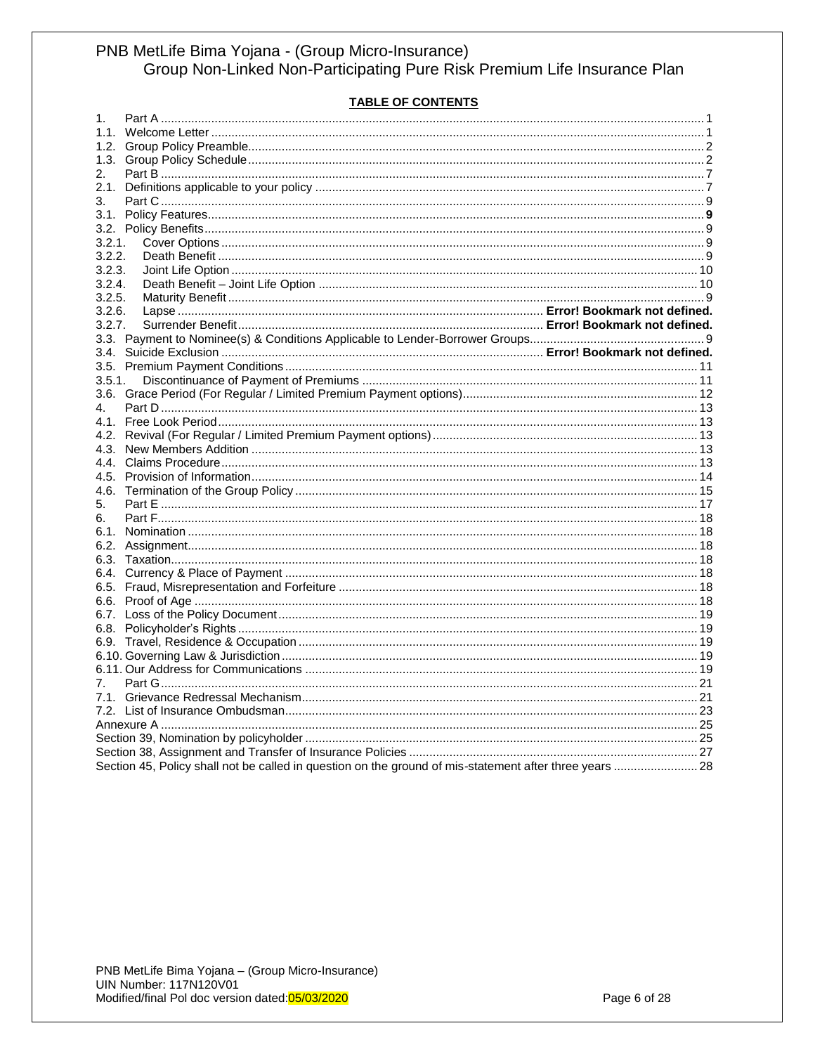#### **TABLE OF CONTENTS**

| 1.      |                                                                                                         |  |
|---------|---------------------------------------------------------------------------------------------------------|--|
|         |                                                                                                         |  |
|         |                                                                                                         |  |
|         |                                                                                                         |  |
| 2.      |                                                                                                         |  |
|         |                                                                                                         |  |
| 3.      |                                                                                                         |  |
|         |                                                                                                         |  |
|         |                                                                                                         |  |
| 3.2.1.  |                                                                                                         |  |
| 3.2.2.  |                                                                                                         |  |
| 3.2.3.  |                                                                                                         |  |
| 3.2.4.  |                                                                                                         |  |
| 3.2.5.  |                                                                                                         |  |
| 3.2.6.  |                                                                                                         |  |
| 3.2.7.  |                                                                                                         |  |
|         |                                                                                                         |  |
|         |                                                                                                         |  |
|         |                                                                                                         |  |
|         |                                                                                                         |  |
| 3.5.1.  |                                                                                                         |  |
|         |                                                                                                         |  |
| $4_{-}$ |                                                                                                         |  |
|         |                                                                                                         |  |
|         |                                                                                                         |  |
|         |                                                                                                         |  |
|         |                                                                                                         |  |
|         |                                                                                                         |  |
|         |                                                                                                         |  |
| 5.      |                                                                                                         |  |
| 6.      |                                                                                                         |  |
|         |                                                                                                         |  |
|         |                                                                                                         |  |
|         |                                                                                                         |  |
|         |                                                                                                         |  |
|         |                                                                                                         |  |
|         |                                                                                                         |  |
|         |                                                                                                         |  |
|         |                                                                                                         |  |
|         |                                                                                                         |  |
|         |                                                                                                         |  |
|         |                                                                                                         |  |
| 7.      |                                                                                                         |  |
|         |                                                                                                         |  |
|         |                                                                                                         |  |
|         |                                                                                                         |  |
|         |                                                                                                         |  |
|         |                                                                                                         |  |
|         | Section 45, Policy shall not be called in question on the ground of mis-statement after three years  28 |  |
|         |                                                                                                         |  |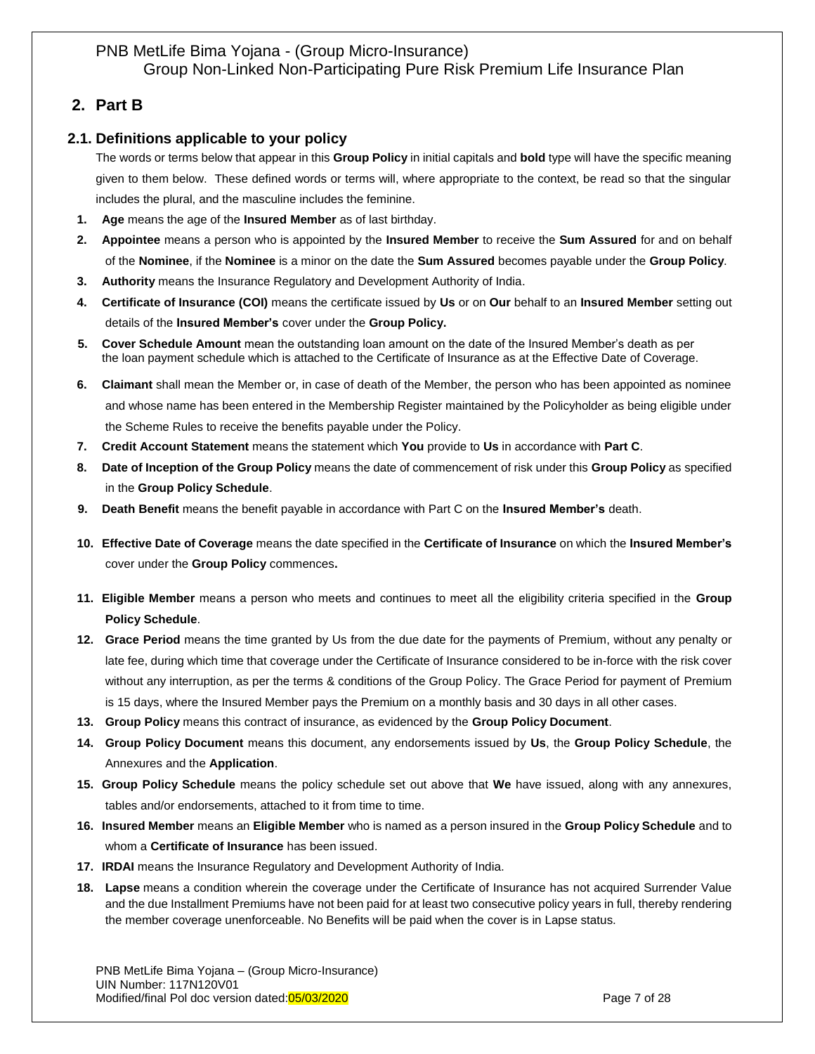# <span id="page-6-0"></span>**2. Part B**

## <span id="page-6-1"></span>**2.1. Definitions applicable to your policy**

The words or terms below that appear in this **Group Policy** in initial capitals and **bold** type will have the specific meaning given to them below. These defined words or terms will, where appropriate to the context, be read so that the singular includes the plural, and the masculine includes the feminine.

- **1. Age** means the age of the **Insured Member** as of last birthday.
- **2. Appointee** means a person who is appointed by the **Insured Member** to receive the **Sum Assured** for and on behalf of the **Nominee**, if the **Nominee** is a minor on the date the **Sum Assured** becomes payable under the **Group Policy**.
- **3. Authority** means the Insurance Regulatory and Development Authority of India.
- **4. Certificate of Insurance (COI)** means the certificate issued by **Us** or on **Our** behalf to an **Insured Member** setting out details of the **Insured Member's** cover under the **Group Policy.**
- **5. Cover Schedule Amount** mean the outstanding loan amount on the date of the Insured Member's death as per the loan payment schedule which is attached to the Certificate of Insurance as at the Effective Date of Coverage.
- **6. Claimant** shall mean the Member or, in case of death of the Member, the person who has been appointed as nominee and whose name has been entered in the Membership Register maintained by the Policyholder as being eligible under the Scheme Rules to receive the benefits payable under the Policy.
- **7. Credit Account Statement** means the statement which **You** provide to **Us** in accordance with **Part C**.
- **8. Date of Inception of the Group Policy** means the date of commencement of risk under this **Group Policy** as specified in the **Group Policy Schedule**.
- **9. Death Benefit** means the benefit payable in accordance with Part C on the **Insured Member's** death.
- **10. Effective Date of Coverage** means the date specified in the **Certificate of Insurance** on which the **Insured Member's** cover under the **Group Policy** commences**.**
- **11. Eligible Member** means a person who meets and continues to meet all the eligibility criteria specified in the **Group Policy Schedule**.
- **12. Grace Period** means the time granted by Us from the due date for the payments of Premium, without any penalty or late fee, during which time that coverage under the Certificate of Insurance considered to be in-force with the risk cover without any interruption, as per the terms & conditions of the Group Policy. The Grace Period for payment of Premium is 15 days, where the Insured Member pays the Premium on a monthly basis and 30 days in all other cases.
- **13. Group Policy** means this contract of insurance, as evidenced by the **Group Policy Document**.
- **14. Group Policy Document** means this document, any endorsements issued by **Us**, the **Group Policy Schedule**, the Annexures and the **Application**.
- **15. Group Policy Schedule** means the policy schedule set out above that **We** have issued, along with any annexures, tables and/or endorsements, attached to it from time to time.
- **16. Insured Member** means an **Eligible Member** who is named as a person insured in the **Group Policy Schedule** and to whom a **Certificate of Insurance** has been issued.
- **17. IRDAI** means the Insurance Regulatory and Development Authority of India.
- **18. Lapse** means a condition wherein the coverage under the Certificate of Insurance has not acquired Surrender Value and the due Installment Premiums have not been paid for at least two consecutive policy years in full, thereby rendering the member coverage unenforceable. No Benefits will be paid when the cover is in Lapse status.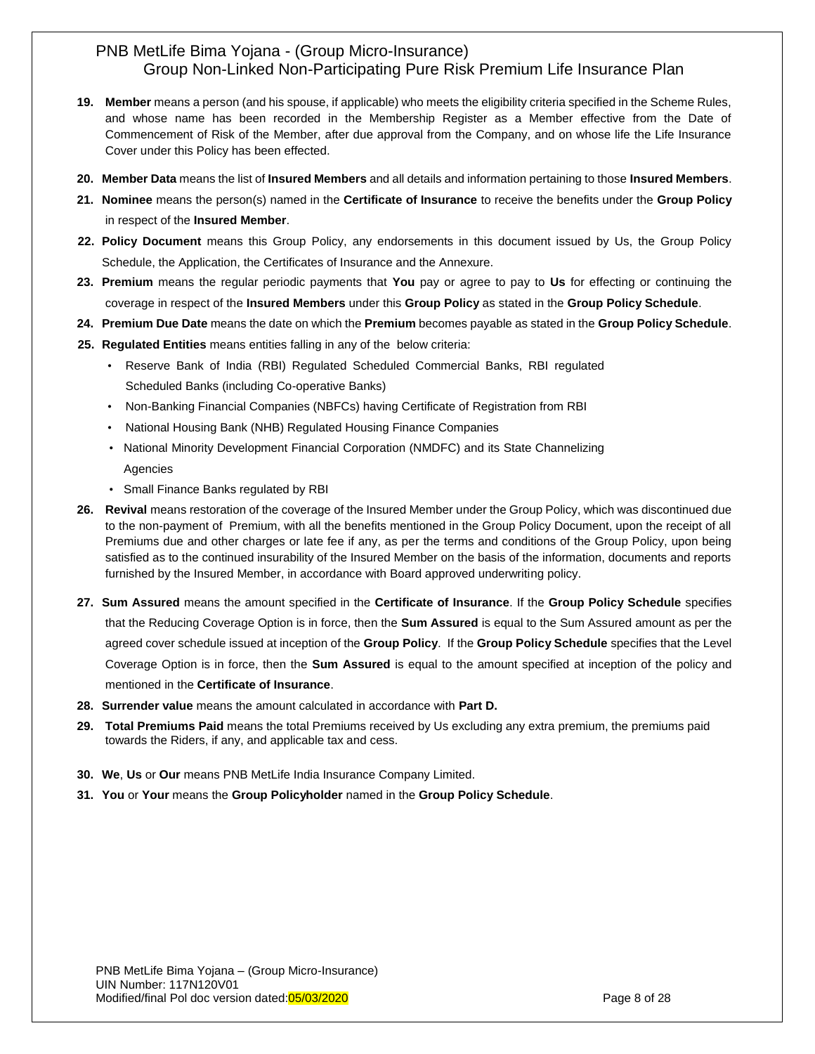- **19. Member** means a person (and his spouse, if applicable) who meets the eligibility criteria specified in the Scheme Rules, and whose name has been recorded in the Membership Register as a Member effective from the Date of Commencement of Risk of the Member, after due approval from the Company, and on whose life the Life Insurance Cover under this Policy has been effected.
- **20. Member Data** means the list of **Insured Members** and all details and information pertaining to those **Insured Members**.
- **21. Nominee** means the person(s) named in the **Certificate of Insurance** to receive the benefits under the **Group Policy** in respect of the **Insured Member**.
- **22. Policy Document** means this Group Policy, any endorsements in this document issued by Us, the Group Policy Schedule, the Application, the Certificates of Insurance and the Annexure.
- **23. Premium** means the regular periodic payments that **You** pay or agree to pay to **Us** for effecting or continuing the coverage in respect of the **Insured Members** under this **Group Policy** as stated in the **Group Policy Schedule**.
- **24. Premium Due Date** means the date on which the **Premium** becomes payable as stated in the **Group Policy Schedule**.
- **25. Regulated Entities** means entities falling in any of the below criteria:
	- Reserve Bank of India (RBI) Regulated Scheduled Commercial Banks, RBI regulated Scheduled Banks (including Co-operative Banks)
	- Non-Banking Financial Companies (NBFCs) having Certificate of Registration from RBI
	- National Housing Bank (NHB) Regulated Housing Finance Companies
	- National Minority Development Financial Corporation (NMDFC) and its State Channelizing Agencies
	- Small Finance Banks regulated by RBI
- **26. Revival** means restoration of the coverage of the Insured Member under the Group Policy, which was discontinued due to the non-payment of Premium, with all the benefits mentioned in the Group Policy Document, upon the receipt of all Premiums due and other charges or late fee if any, as per the terms and conditions of the Group Policy, upon being satisfied as to the continued insurability of the Insured Member on the basis of the information, documents and reports furnished by the Insured Member, in accordance with Board approved underwriting policy.
- **27. Sum Assured** means the amount specified in the **Certificate of Insurance**. If the **Group Policy Schedule** specifies that the Reducing Coverage Option is in force, then the **Sum Assured** is equal to the Sum Assured amount as per the agreed cover schedule issued at inception of the **Group Policy**. If the **Group Policy Schedule** specifies that the Level Coverage Option is in force, then the **Sum Assured** is equal to the amount specified at inception of the policy and mentioned in the **Certificate of Insurance**.
- **28. Surrender value** means the amount calculated in accordance with **Part D.**
- **29. Total Premiums Paid** means the total Premiums received by Us excluding any extra premium, the premiums paid towards the Riders, if any, and applicable tax and cess.
- **30. We**, **Us** or **Our** means PNB MetLife India Insurance Company Limited.
- **31. You** or **Your** means the **Group Policyholder** named in the **Group Policy Schedule**.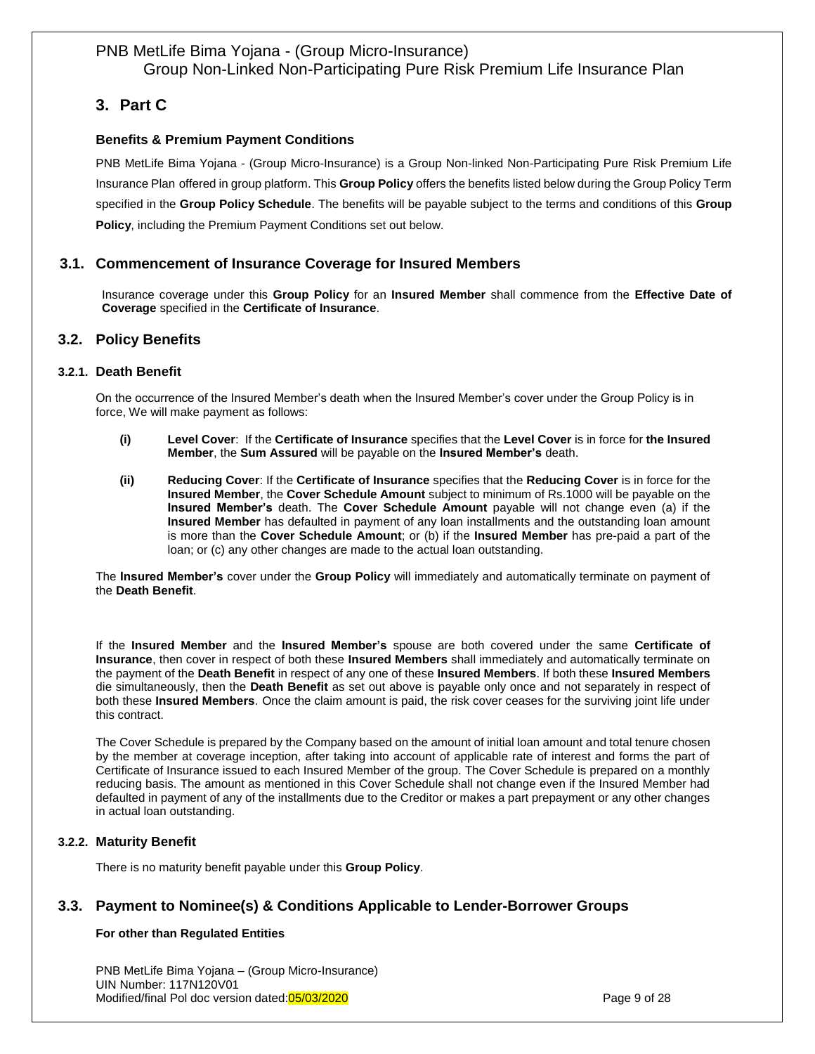# <span id="page-8-0"></span>**3. Part C**

## **Benefits & Premium Payment Conditions**

PNB MetLife Bima Yojana - (Group Micro-Insurance) is a Group Non-linked Non-Participating Pure Risk Premium Life Insurance Plan offered in group platform. This **Group Policy** offers the benefits listed below during the Group Policy Term specified in the **Group Policy Schedule**. The benefits will be payable subject to the terms and conditions of this **Group Policy**, including the Premium Payment Conditions set out below.

## <span id="page-8-1"></span>**3.1. Commencement of Insurance Coverage for Insured Members**

Insurance coverage under this **Group Policy** for an **Insured Member** shall commence from the **Effective Date of Coverage** specified in the **Certificate of Insurance**.

## **3.2. Policy Benefits**

#### <span id="page-8-2"></span>**3.2.1. Death Benefit**

On the occurrence of the Insured Member's death when the Insured Member's cover under the Group Policy is in force, We will make payment as follows:

- **(i) Level Cover**: If the **Certificate of Insurance** specifies that the **Level Cover** is in force for **the Insured Member**, the **Sum Assured** will be payable on the **Insured Member's** death.
- **(ii) Reducing Cover**: If the **Certificate of Insurance** specifies that the **Reducing Cover** is in force for the **Insured Member**, the **Cover Schedule Amount** subject to minimum of Rs.1000 will be payable on the **Insured Member's** death. The **Cover Schedule Amount** payable will not change even (a) if the **Insured Member** has defaulted in payment of any loan installments and the outstanding loan amount is more than the **Cover Schedule Amount**; or (b) if the **Insured Member** has pre-paid a part of the loan; or (c) any other changes are made to the actual loan outstanding.

The **Insured Member's** cover under the **Group Policy** will immediately and automatically terminate on payment of the **Death Benefit**.

If the **Insured Member** and the **Insured Member's** spouse are both covered under the same **Certificate of Insurance**, then cover in respect of both these **Insured Members** shall immediately and automatically terminate on the payment of the **Death Benefit** in respect of any one of these **Insured Members**. If both these **Insured Members** die simultaneously, then the **Death Benefit** as set out above is payable only once and not separately in respect of both these **Insured Members**. Once the claim amount is paid, the risk cover ceases for the surviving joint life under this contract.

The Cover Schedule is prepared by the Company based on the amount of initial loan amount and total tenure chosen by the member at coverage inception, after taking into account of applicable rate of interest and forms the part of Certificate of Insurance issued to each Insured Member of the group. The Cover Schedule is prepared on a monthly reducing basis. The amount as mentioned in this Cover Schedule shall not change even if the Insured Member had defaulted in payment of any of the installments due to the Creditor or makes a part prepayment or any other changes in actual loan outstanding.

## <span id="page-8-3"></span>**3.2.2. Maturity Benefit**

<span id="page-8-4"></span>There is no maturity benefit payable under this **Group Policy**.

## **3.3. Payment to Nominee(s) & Conditions Applicable to Lender-Borrower Groups**

#### **For other than Regulated Entities**

PNB MetLife Bima Yojana – (Group Micro-Insurance) UIN Number: 117N120V01 Modified/final Pol doc version dated: 05/03/2020 Page 9 of 28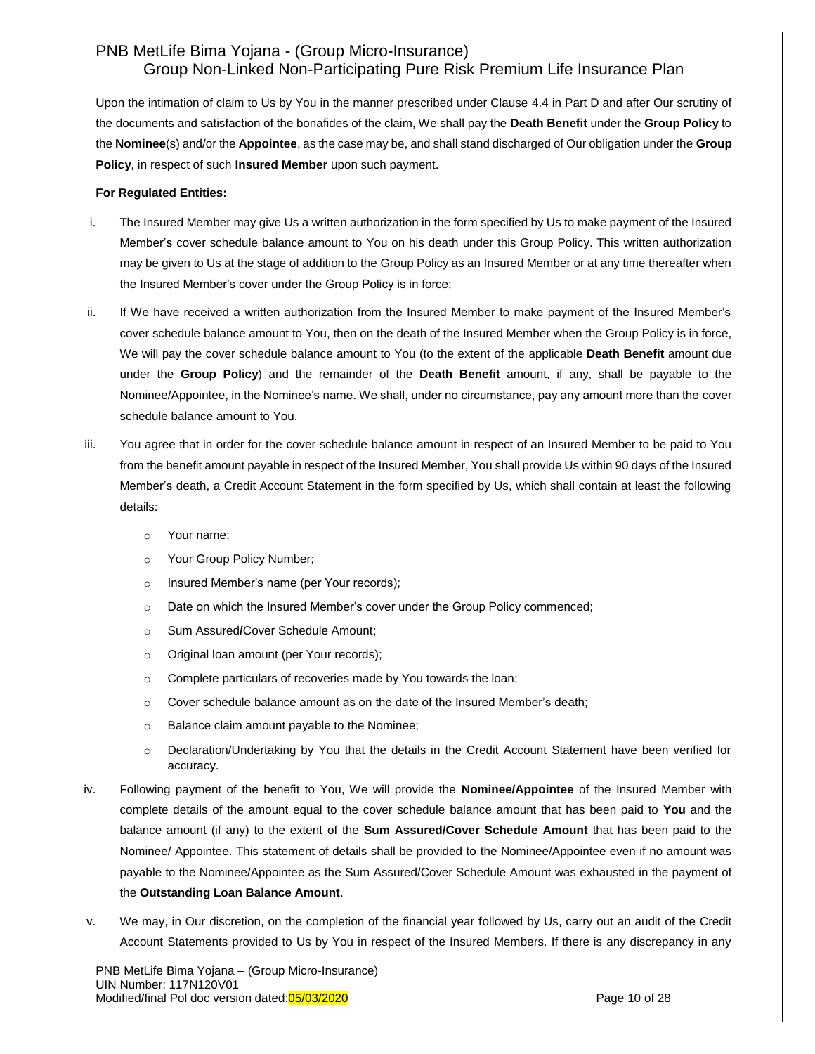Upon the intimation of claim to Us by You in the manner prescribed under Clause 4.4 in Part D and after Our scrutiny of the documents and satisfaction of the bonafides of the claim, We shall pay the **Death Benefit** under the **Group Policy** to the **Nominee**(s) and/or the **Appointee**, as the case may be, and shall stand discharged of Our obligation under the **Group Policy**, in respect of such **Insured Member** upon such payment.

#### **For Regulated Entities:**

- i. The Insured Member may give Us a written authorization in the form specified by Us to make payment of the Insured Member's cover schedule balance amount to You on his death under this Group Policy. This written authorization may be given to Us at the stage of addition to the Group Policy as an Insured Member or at any time thereafter when the Insured Member's cover under the Group Policy is in force;
- ii. If We have received a written authorization from the Insured Member to make payment of the Insured Member's cover schedule balance amount to You, then on the death of the Insured Member when the Group Policy is in force, We will pay the cover schedule balance amount to You (to the extent of the applicable **Death Benefit** amount due under the **Group Policy**) and the remainder of the **Death Benefit** amount, if any, shall be payable to the Nominee/Appointee, in the Nominee's name. We shall, under no circumstance, pay any amount more than the cover schedule balance amount to You.
- iii. You agree that in order for the cover schedule balance amount in respect of an Insured Member to be paid to You from the benefit amount payable in respect of the Insured Member, You shall provide Us within 90 days of the Insured Member's death, a Credit Account Statement in the form specified by Us, which shall contain at least the following details:
	- o Your name;
	- o Your Group Policy Number;
	- o Insured Member's name (per Your records);
	- o Date on which the Insured Member's cover under the Group Policy commenced;
	- o Sum Assured**/**Cover Schedule Amount;
	- o Original loan amount (per Your records);
	- o Complete particulars of recoveries made by You towards the loan;
	- $\circ$  Cover schedule balance amount as on the date of the Insured Member's death;
	- o Balance claim amount payable to the Nominee;
	- o Declaration/Undertaking by You that the details in the Credit Account Statement have been verified for accuracy.
- iv. Following payment of the benefit to You, We will provide the **Nominee/Appointee** of the Insured Member with complete details of the amount equal to the cover schedule balance amount that has been paid to **You** and the balance amount (if any) to the extent of the **Sum Assured/Cover Schedule Amount** that has been paid to the Nominee/ Appointee. This statement of details shall be provided to the Nominee/Appointee even if no amount was payable to the Nominee/Appointee as the Sum Assured/Cover Schedule Amount was exhausted in the payment of the **Outstanding Loan Balance Amount**.
- v. We may, in Our discretion, on the completion of the financial year followed by Us, carry out an audit of the Credit Account Statements provided to Us by You in respect of the Insured Members. If there is any discrepancy in any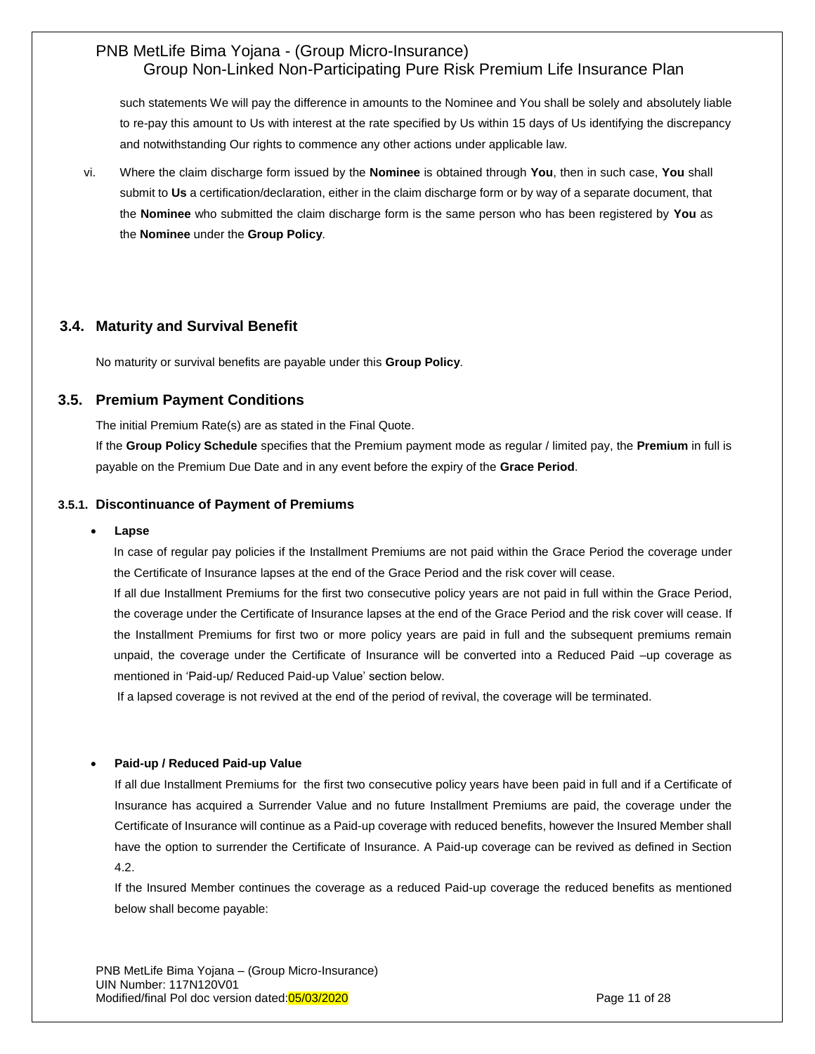such statements We will pay the difference in amounts to the Nominee and You shall be solely and absolutely liable to re-pay this amount to Us with interest at the rate specified by Us within 15 days of Us identifying the discrepancy and notwithstanding Our rights to commence any other actions under applicable law.

vi. Where the claim discharge form issued by the **Nominee** is obtained through **You**, then in such case, **You** shall submit to **Us** a certification/declaration, either in the claim discharge form or by way of a separate document, that the **Nominee** who submitted the claim discharge form is the same person who has been registered by **You** as the **Nominee** under the **Group Policy**.

## <span id="page-10-0"></span>**3.4. Maturity and Survival Benefit**

No maturity or survival benefits are payable under this **Group Policy**.

## **3.5. Premium Payment Conditions**

The initial Premium Rate(s) are as stated in the Final Quote.

If the **Group Policy Schedule** specifies that the Premium payment mode as regular / limited pay, the **Premium** in full is payable on the Premium Due Date and in any event before the expiry of the **Grace Period**.

#### <span id="page-10-1"></span>**3.5.1. Discontinuance of Payment of Premiums**

#### **Lapse**

In case of regular pay policies if the Installment Premiums are not paid within the Grace Period the coverage under the Certificate of Insurance lapses at the end of the Grace Period and the risk cover will cease.

If all due Installment Premiums for the first two consecutive policy years are not paid in full within the Grace Period, the coverage under the Certificate of Insurance lapses at the end of the Grace Period and the risk cover will cease. If the Installment Premiums for first two or more policy years are paid in full and the subsequent premiums remain unpaid, the coverage under the Certificate of Insurance will be converted into a Reduced Paid –up coverage as mentioned in 'Paid-up/ Reduced Paid-up Value' section below.

If a lapsed coverage is not revived at the end of the period of revival, the coverage will be terminated.

#### **Paid-up / Reduced Paid-up Value**

If all due Installment Premiums for the first two consecutive policy years have been paid in full and if a Certificate of Insurance has acquired a Surrender Value and no future Installment Premiums are paid, the coverage under the Certificate of Insurance will continue as a Paid-up coverage with reduced benefits, however the Insured Member shall have the option to surrender the Certificate of Insurance. A Paid-up coverage can be revived as defined in Section 4.2.

If the Insured Member continues the coverage as a reduced Paid-up coverage the reduced benefits as mentioned below shall become payable: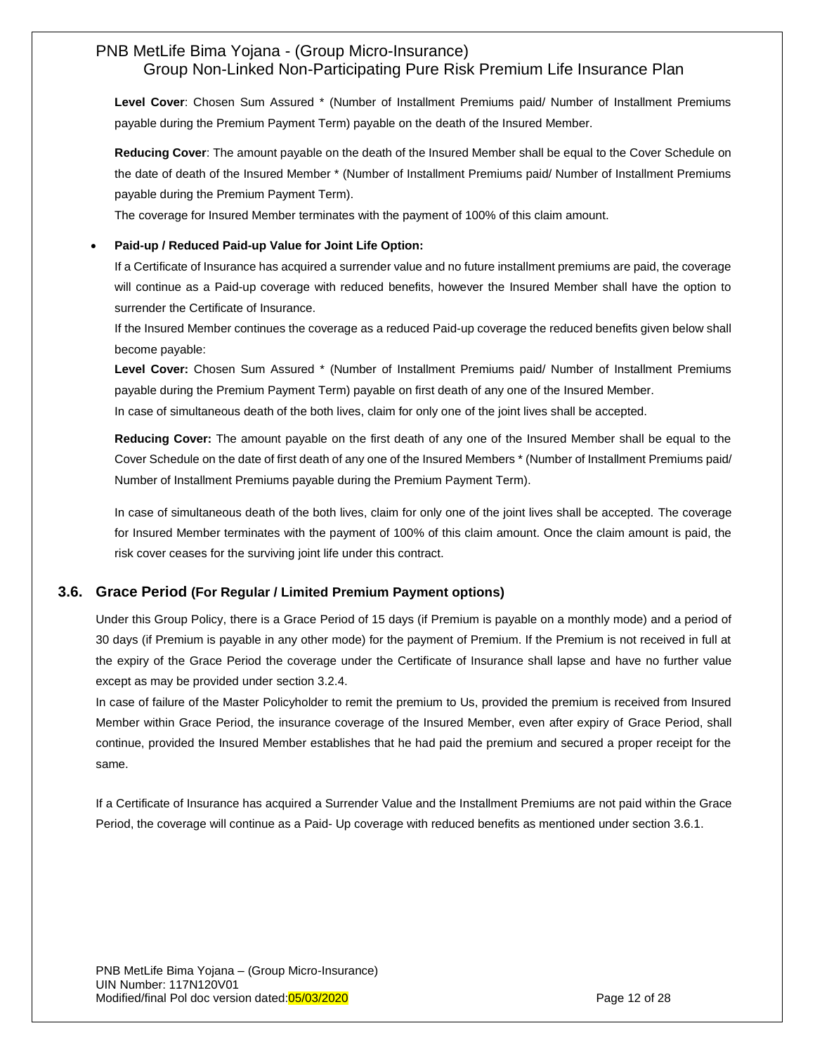**Level Cover**: Chosen Sum Assured \* (Number of Installment Premiums paid/ Number of Installment Premiums payable during the Premium Payment Term) payable on the death of the Insured Member.

**Reducing Cover**: The amount payable on the death of the Insured Member shall be equal to the Cover Schedule on the date of death of the Insured Member \* (Number of Installment Premiums paid/ Number of Installment Premiums payable during the Premium Payment Term).

The coverage for Insured Member terminates with the payment of 100% of this claim amount.

#### **Paid-up / Reduced Paid-up Value for Joint Life Option:**

If a Certificate of Insurance has acquired a surrender value and no future installment premiums are paid, the coverage will continue as a Paid-up coverage with reduced benefits, however the Insured Member shall have the option to surrender the Certificate of Insurance.

If the Insured Member continues the coverage as a reduced Paid-up coverage the reduced benefits given below shall become payable:

**Level Cover:** Chosen Sum Assured \* (Number of Installment Premiums paid/ Number of Installment Premiums payable during the Premium Payment Term) payable on first death of any one of the Insured Member. In case of simultaneous death of the both lives, claim for only one of the joint lives shall be accepted.

**Reducing Cover:** The amount payable on the first death of any one of the Insured Member shall be equal to the Cover Schedule on the date of first death of any one of the Insured Members \* (Number of Installment Premiums paid/ Number of Installment Premiums payable during the Premium Payment Term).

In case of simultaneous death of the both lives, claim for only one of the joint lives shall be accepted. The coverage for Insured Member terminates with the payment of 100% of this claim amount. Once the claim amount is paid, the risk cover ceases for the surviving joint life under this contract.

## <span id="page-11-0"></span>**3.6. Grace Period (For Regular / Limited Premium Payment options)**

Under this Group Policy, there is a Grace Period of 15 days (if Premium is payable on a monthly mode) and a period of 30 days (if Premium is payable in any other mode) for the payment of Premium. If the Premium is not received in full at the expiry of the Grace Period the coverage under the Certificate of Insurance shall lapse and have no further value except as may be provided under section 3.2.4.

In case of failure of the Master Policyholder to remit the premium to Us, provided the premium is received from Insured Member within Grace Period, the insurance coverage of the Insured Member, even after expiry of Grace Period, shall continue, provided the Insured Member establishes that he had paid the premium and secured a proper receipt for the same.

If a Certificate of Insurance has acquired a Surrender Value and the Installment Premiums are not paid within the Grace Period, the coverage will continue as a Paid- Up coverage with reduced benefits as mentioned under section 3.6.1.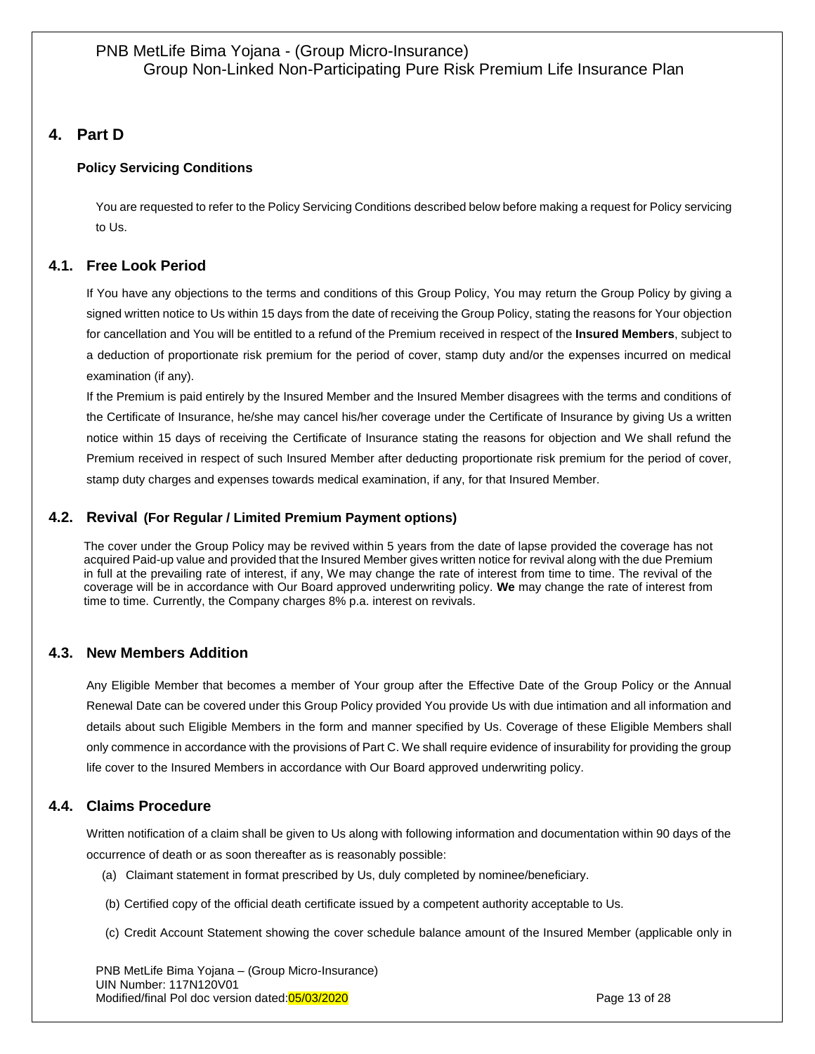# <span id="page-12-0"></span>**4. Part D**

## **Policy Servicing Conditions**

You are requested to refer to the Policy Servicing Conditions described below before making a request for Policy servicing to Us.

## <span id="page-12-1"></span>**4.1. Free Look Period**

If You have any objections to the terms and conditions of this Group Policy, You may return the Group Policy by giving a signed written notice to Us within 15 days from the date of receiving the Group Policy, stating the reasons for Your objection for cancellation and You will be entitled to a refund of the Premium received in respect of the **Insured Members**, subject to a deduction of proportionate risk premium for the period of cover, stamp duty and/or the expenses incurred on medical examination (if any).

If the Premium is paid entirely by the Insured Member and the Insured Member disagrees with the terms and conditions of the Certificate of Insurance, he/she may cancel his/her coverage under the Certificate of Insurance by giving Us a written notice within 15 days of receiving the Certificate of Insurance stating the reasons for objection and We shall refund the Premium received in respect of such Insured Member after deducting proportionate risk premium for the period of cover, stamp duty charges and expenses towards medical examination, if any, for that Insured Member.

## <span id="page-12-2"></span>**4.2. Revival (For Regular / Limited Premium Payment options)**

The cover under the Group Policy may be revived within 5 years from the date of lapse provided the coverage has not acquired Paid-up value and provided that the Insured Member gives written notice for revival along with the due Premium in full at the prevailing rate of interest, if any, We may change the rate of interest from time to time. The revival of the coverage will be in accordance with Our Board approved underwriting policy. **We** may change the rate of interest from time to time. Currently, the Company charges 8% p.a. interest on revivals.

## <span id="page-12-3"></span>**4.3. New Members Addition**

Any Eligible Member that becomes a member of Your group after the Effective Date of the Group Policy or the Annual Renewal Date can be covered under this Group Policy provided You provide Us with due intimation and all information and details about such Eligible Members in the form and manner specified by Us. Coverage of these Eligible Members shall only commence in accordance with the provisions of Part C. We shall require evidence of insurability for providing the group life cover to the Insured Members in accordance with Our Board approved underwriting policy.

## <span id="page-12-4"></span>**4.4. Claims Procedure**

Written notification of a claim shall be given to Us along with following information and documentation within 90 days of the occurrence of death or as soon thereafter as is reasonably possible:

- (a) Claimant statement in format prescribed by Us, duly completed by nominee/beneficiary.
- (b) Certified copy of the official death certificate issued by a competent authority acceptable to Us.
- (c) Credit Account Statement showing the cover schedule balance amount of the Insured Member (applicable only in

PNB MetLife Bima Yojana – (Group Micro-Insurance) UIN Number: 117N120V01 Modified/final Pol doc version dated:05/03/2020 **Page 13 of 28** Page 13 of 28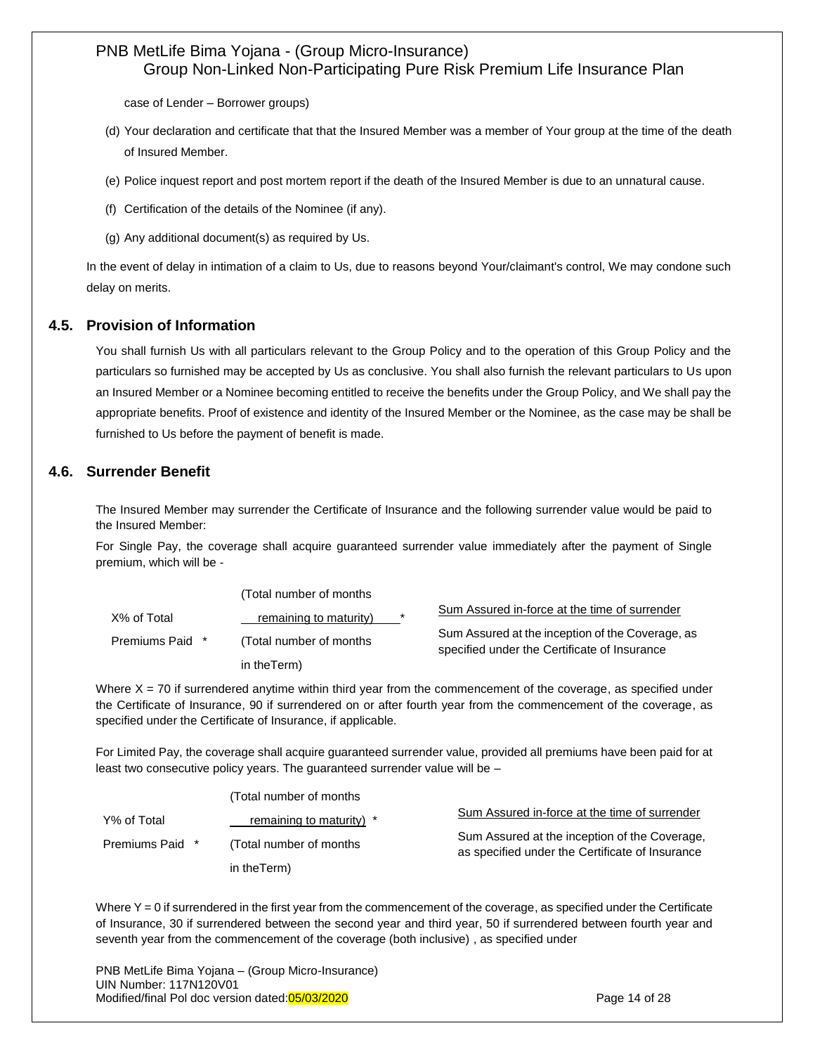case of Lender – Borrower groups)

- (d) Your declaration and certificate that that the Insured Member was a member of Your group at the time of the death of Insured Member.
- (e) Police inquest report and post mortem report if the death of the Insured Member is due to an unnatural cause.
- (f) Certification of the details of the Nominee (if any).
- (g) Any additional document(s) as required by Us.

In the event of delay in intimation of a claim to Us, due to reasons beyond Your/claimant's control, We may condone such delay on merits.

## <span id="page-13-0"></span>**4.5. Provision of Information**

You shall furnish Us with all particulars relevant to the Group Policy and to the operation of this Group Policy and the particulars so furnished may be accepted by Us as conclusive. You shall also furnish the relevant particulars to Us upon an Insured Member or a Nominee becoming entitled to receive the benefits under the Group Policy, and We shall pay the appropriate benefits. Proof of existence and identity of the Insured Member or the Nominee, as the case may be shall be furnished to Us before the payment of benefit is made.

## **4.6. Surrender Benefit**

The Insured Member may surrender the Certificate of Insurance and the following surrender value would be paid to the Insured Member:

For Single Pay, the coverage shall acquire guaranteed surrender value immediately after the payment of Single premium, which will be -

|                 | (Total number of months) |         |                                                                                                  |
|-----------------|--------------------------|---------|--------------------------------------------------------------------------------------------------|
| X% of Total     | remaining to maturity)   | $\star$ | Sum Assured in-force at the time of surrender                                                    |
| Premiums Paid * | (Total number of months) |         | Sum Assured at the inception of the Coverage, as<br>specified under the Certificate of Insurance |
|                 | in the Term)             |         |                                                                                                  |

Where  $X = 70$  if surrendered anytime within third year from the commencement of the coverage, as specified under the Certificate of Insurance, 90 if surrendered on or after fourth year from the commencement of the coverage, as specified under the Certificate of Insurance, if applicable.

For Limited Pay, the coverage shall acquire guaranteed surrender value, provided all premiums have been paid for at least two consecutive policy years. The guaranteed surrender value will be –

|                 | (Total number of months) |                                                                                                  |
|-----------------|--------------------------|--------------------------------------------------------------------------------------------------|
| Y% of Total     | remaining to maturity) * | Sum Assured in-force at the time of surrender                                                    |
| Premiums Paid * | (Total number of months) | Sum Assured at the inception of the Coverage.<br>as specified under the Certificate of Insurance |
|                 | in theTerm)              |                                                                                                  |

Where  $Y = 0$  if surrendered in the first year from the commencement of the coverage, as specified under the Certificate of Insurance, 30 if surrendered between the second year and third year, 50 if surrendered between fourth year and seventh year from the commencement of the coverage (both inclusive) , as specified under

PNB MetLife Bima Yojana – (Group Micro-Insurance) UIN Number: 117N120V01 Modified/final Pol doc version dated:05/03/2020 **Page 14 of 28** Page 14 of 28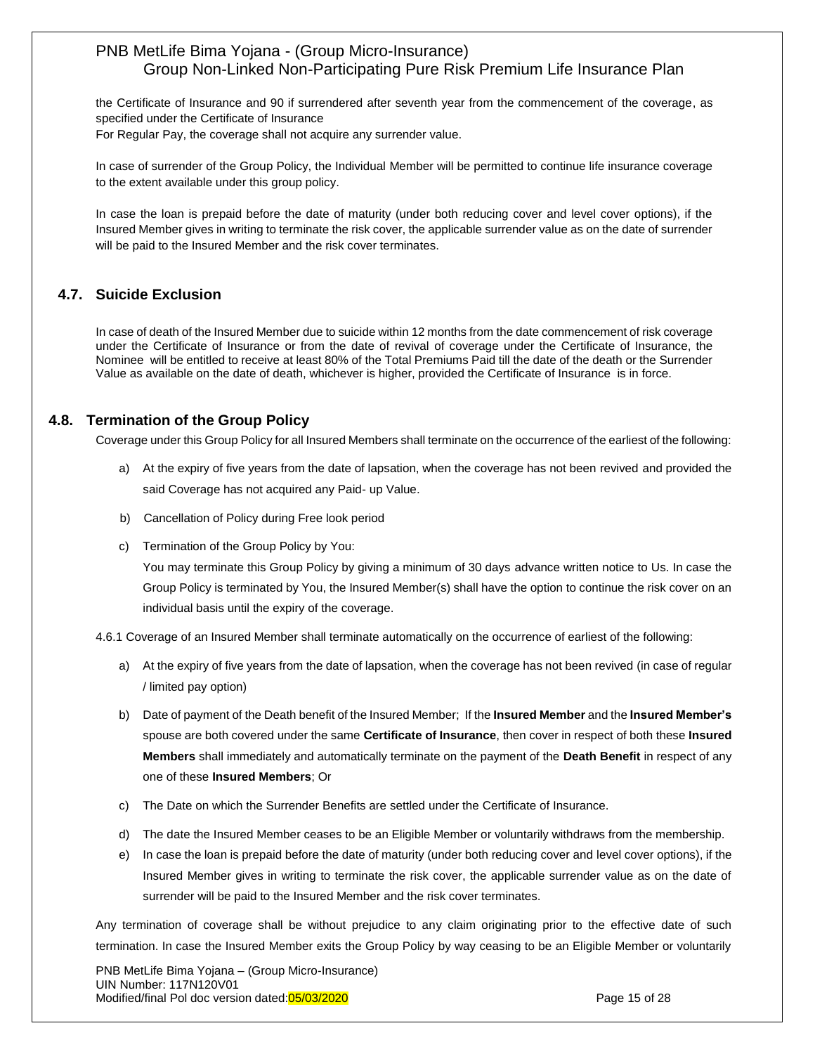the Certificate of Insurance and 90 if surrendered after seventh year from the commencement of the coverage, as specified under the Certificate of Insurance

For Regular Pay, the coverage shall not acquire any surrender value.

In case of surrender of the Group Policy, the Individual Member will be permitted to continue life insurance coverage to the extent available under this group policy.

In case the loan is prepaid before the date of maturity (under both reducing cover and level cover options), if the Insured Member gives in writing to terminate the risk cover, the applicable surrender value as on the date of surrender will be paid to the Insured Member and the risk cover terminates.

## **4.7. Suicide Exclusion**

In case of death of the Insured Member due to suicide within 12 months from the date commencement of risk coverage under the Certificate of Insurance or from the date of revival of coverage under the Certificate of Insurance, the Nominee will be entitled to receive at least 80% of the Total Premiums Paid till the date of the death or the Surrender Value as available on the date of death, whichever is higher, provided the Certificate of Insurance is in force.

## <span id="page-14-0"></span>**4.8. Termination of the Group Policy**

Coverage under this Group Policy for all Insured Members shall terminate on the occurrence of the earliest of the following:

- a) At the expiry of five years from the date of lapsation, when the coverage has not been revived and provided the said Coverage has not acquired any Paid- up Value.
- b) Cancellation of Policy during Free look period
- c) Termination of the Group Policy by You:

You may terminate this Group Policy by giving a minimum of 30 days advance written notice to Us. In case the Group Policy is terminated by You, the Insured Member(s) shall have the option to continue the risk cover on an individual basis until the expiry of the coverage.

4.6.1 Coverage of an Insured Member shall terminate automatically on the occurrence of earliest of the following:

- a) At the expiry of five years from the date of lapsation, when the coverage has not been revived (in case of regular / limited pay option)
- b) Date of payment of the Death benefit of the Insured Member; If the **Insured Member** and the **Insured Member's** spouse are both covered under the same **Certificate of Insurance**, then cover in respect of both these **Insured Members** shall immediately and automatically terminate on the payment of the **Death Benefit** in respect of any one of these **Insured Members**; Or
- c) The Date on which the Surrender Benefits are settled under the Certificate of Insurance.
- d) The date the Insured Member ceases to be an Eligible Member or voluntarily withdraws from the membership.
- e) In case the loan is prepaid before the date of maturity (under both reducing cover and level cover options), if the Insured Member gives in writing to terminate the risk cover, the applicable surrender value as on the date of surrender will be paid to the Insured Member and the risk cover terminates.

Any termination of coverage shall be without prejudice to any claim originating prior to the effective date of such termination. In case the Insured Member exits the Group Policy by way ceasing to be an Eligible Member or voluntarily

PNB MetLife Bima Yojana – (Group Micro-Insurance) UIN Number: 117N120V01 Modified/final Pol doc version dated:05/03/2020 **Page 15** of 28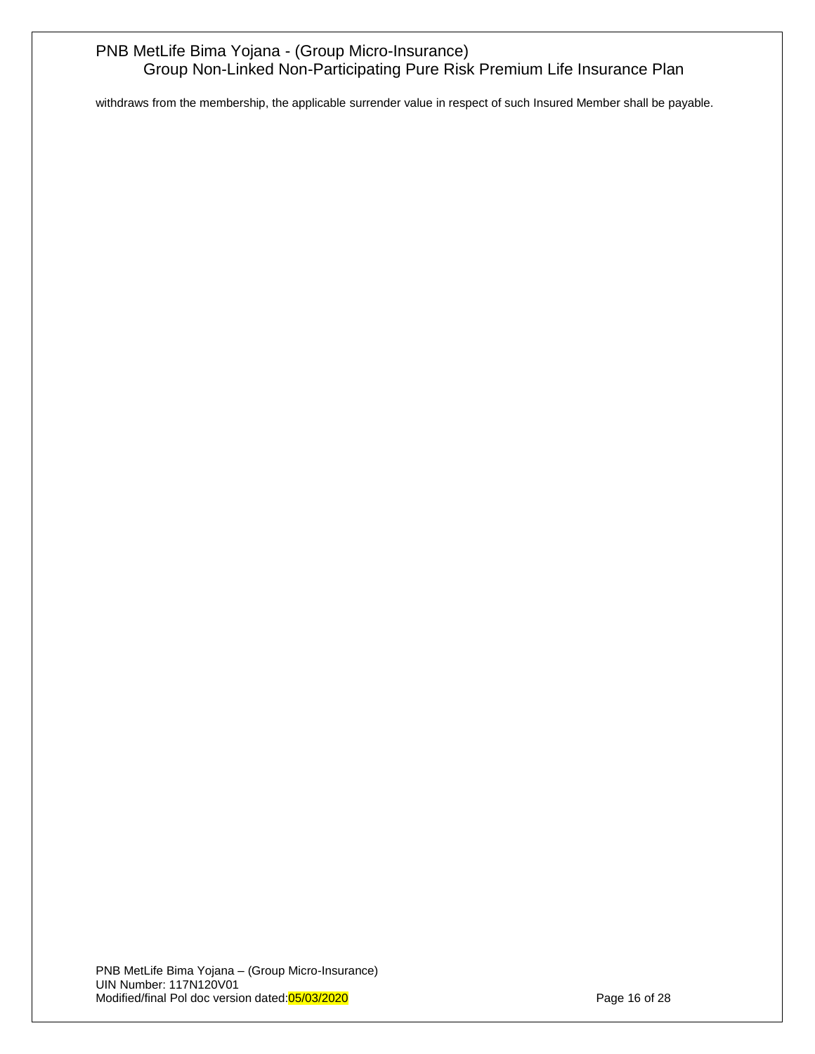withdraws from the membership, the applicable surrender value in respect of such Insured Member shall be payable.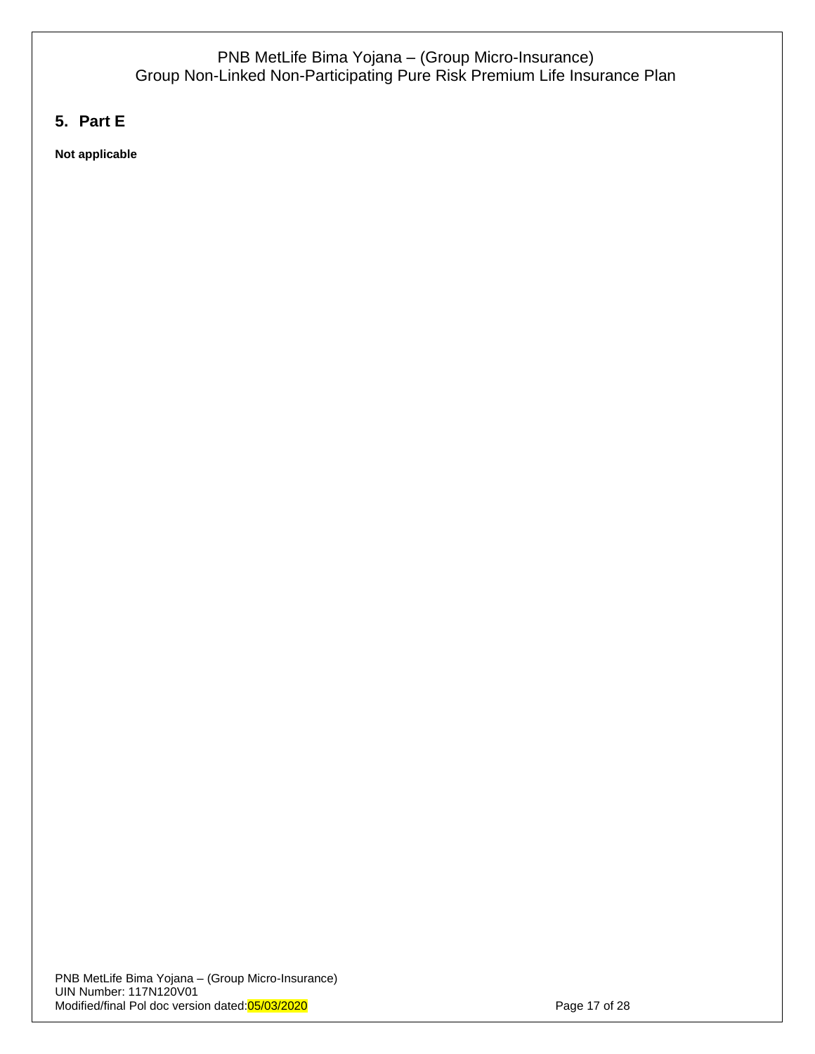# <span id="page-16-0"></span>**5. Part E**

**Not applicable**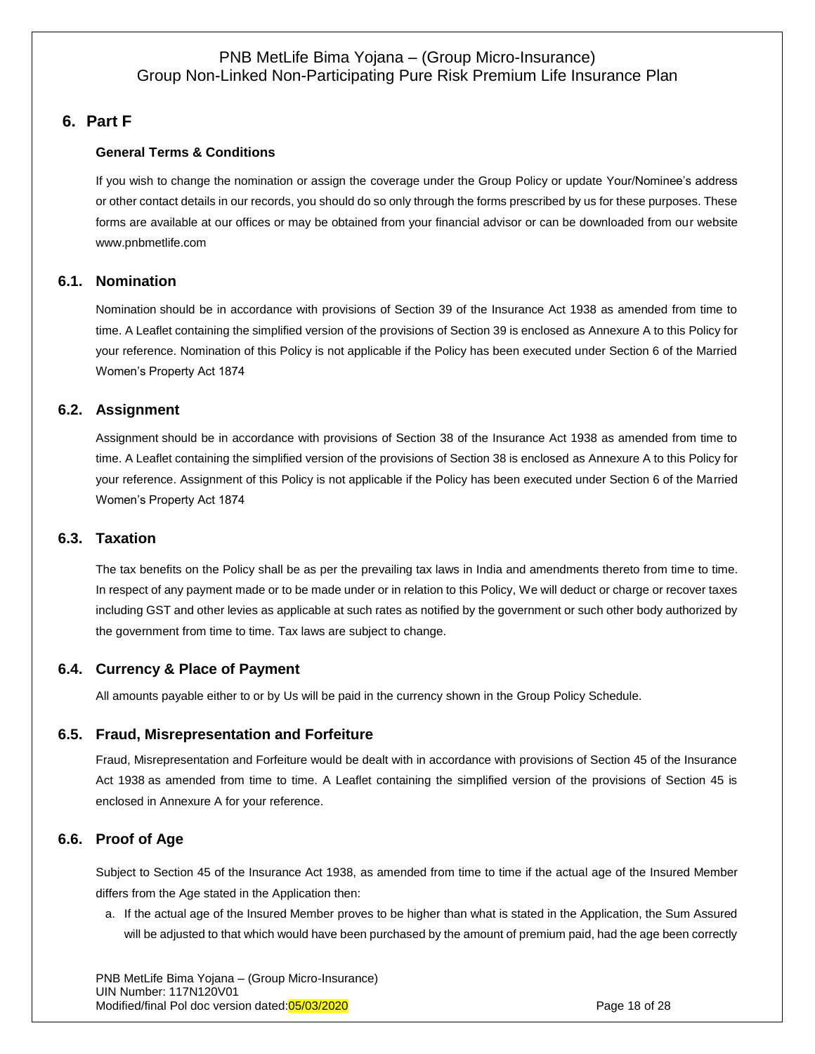# <span id="page-17-0"></span>**6. Part F**

## **General Terms & Conditions**

If you wish to change the nomination or assign the coverage under the Group Policy or update Your/Nominee's address or other contact details in our records, you should do so only through the forms prescribed by us for these purposes. These forms are available at our offices or may be obtained from your financial advisor or can be downloaded from our website [www.pnbmetlife.com](http://www.pnbmetlife.com/)

## <span id="page-17-1"></span>**6.1. Nomination**

Nomination should be in accordance with provisions of Section 39 of the Insurance Act 1938 as amended from time to time. A Leaflet containing the simplified version of the provisions of Section 39 is enclosed as Annexure A to this Policy for your reference. Nomination of this Policy is not applicable if the Policy has been executed under Section 6 of the Married Women's Property Act 1874

## <span id="page-17-2"></span>**6.2. Assignment**

Assignment should be in accordance with provisions of Section 38 of the Insurance Act 1938 as amended from time to time. A Leaflet containing the simplified version of the provisions of Section 38 is enclosed as Annexure A to this Policy for your reference. Assignment of this Policy is not applicable if the Policy has been executed under Section 6 of the Married Women's Property Act 1874

## <span id="page-17-3"></span>**6.3. Taxation**

The tax benefits on the Policy shall be as per the prevailing tax laws in India and amendments thereto from time to time. In respect of any payment made or to be made under or in relation to this Policy, We will deduct or charge or recover taxes including GST and other levies as applicable at such rates as notified by the government or such other body authorized by the government from time to time. Tax laws are subject to change.

## <span id="page-17-4"></span>**6.4. Currency & Place of Payment**

<span id="page-17-5"></span>All amounts payable either to or by Us will be paid in the currency shown in the Group Policy Schedule.

## **6.5. Fraud, Misrepresentation and Forfeiture**

Fraud, Misrepresentation and Forfeiture would be dealt with in accordance with provisions of Section 45 of the Insurance Act 1938 as amended from time to time. A Leaflet containing the simplified version of the provisions of Section 45 is enclosed in Annexure A for your reference.

## <span id="page-17-6"></span>**6.6. Proof of Age**

Subject to Section 45 of the Insurance Act 1938, as amended from time to time if the actual age of the Insured Member differs from the Age stated in the Application then:

a. If the actual age of the Insured Member proves to be higher than what is stated in the Application, the Sum Assured will be adjusted to that which would have been purchased by the amount of premium paid, had the age been correctly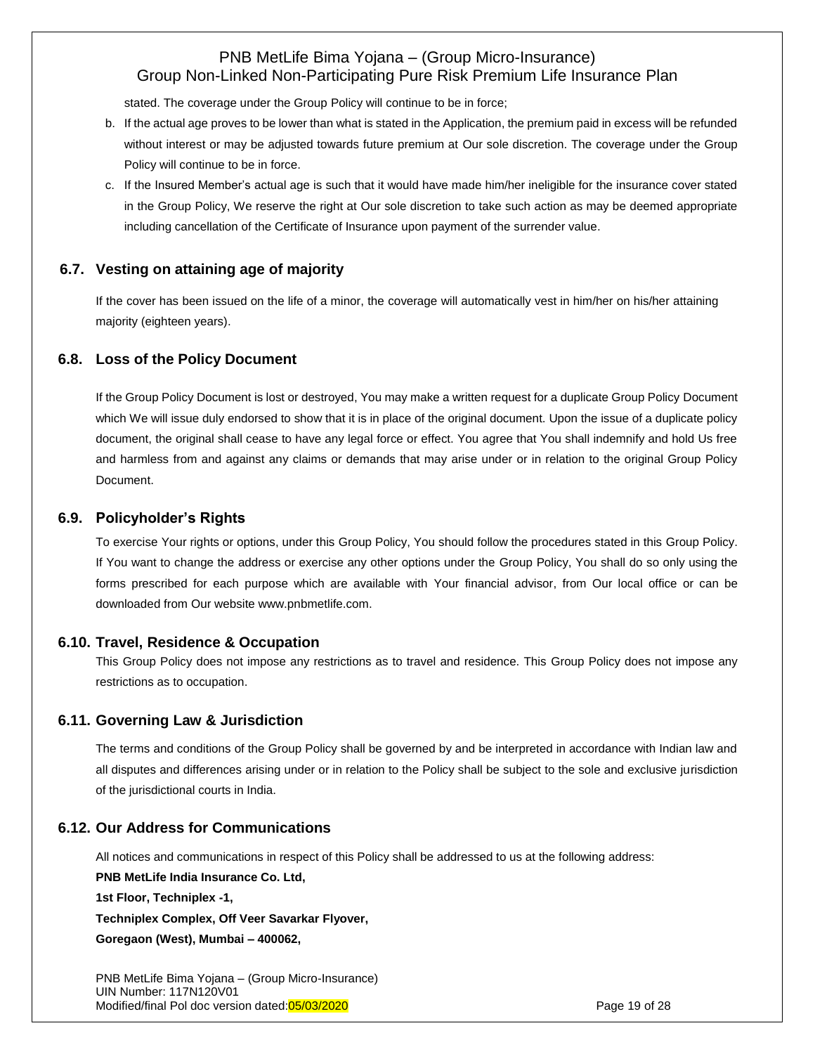stated. The coverage under the Group Policy will continue to be in force;

- b. If the actual age proves to be lower than what is stated in the Application, the premium paid in excess will be refunded without interest or may be adjusted towards future premium at Our sole discretion. The coverage under the Group Policy will continue to be in force.
- c. If the Insured Member's actual age is such that it would have made him/her ineligible for the insurance cover stated in the Group Policy, We reserve the right at Our sole discretion to take such action as may be deemed appropriate including cancellation of the Certificate of Insurance upon payment of the surrender value.

## **6.7. Vesting on attaining age of majority**

<span id="page-18-0"></span>If the cover has been issued on the life of a minor, the coverage will automatically vest in him/her on his/her attaining majority (eighteen years).

## **6.8. Loss of the Policy Document**

If the Group Policy Document is lost or destroyed, You may make a written request for a duplicate Group Policy Document which We will issue duly endorsed to show that it is in place of the original document. Upon the issue of a duplicate policy document, the original shall cease to have any legal force or effect. You agree that You shall indemnify and hold Us free and harmless from and against any claims or demands that may arise under or in relation to the original Group Policy Document.

## <span id="page-18-1"></span>**6.9. Policyholder's Rights**

To exercise Your rights or options, under this Group Policy, You should follow the procedures stated in this Group Policy. If You want to change the address or exercise any other options under the Group Policy, You shall do so only using the forms prescribed for each purpose which are available with Your financial advisor, from Our local office or can be downloaded from Our website [www.pnbmetlife.com.](http://www.pnbmetlife.com/)

## **6.10. Travel, Residence & Occupation**

<span id="page-18-2"></span>This Group Policy does not impose any restrictions as to travel and residence. This Group Policy does not impose any restrictions as to occupation.

## <span id="page-18-3"></span>**6.11. Governing Law & Jurisdiction**

The terms and conditions of the Group Policy shall be governed by and be interpreted in accordance with Indian law and all disputes and differences arising under or in relation to the Policy shall be subject to the sole and exclusive jurisdiction of the jurisdictional courts in India.

## <span id="page-18-4"></span>**6.12. Our Address for Communications**

All notices and communications in respect of this Policy shall be addressed to us at the following address:

**PNB MetLife India Insurance Co. Ltd,**

**1st Floor, Techniplex -1,** 

**Techniplex Complex, Off Veer Savarkar Flyover,** 

**Goregaon (West), Mumbai – 400062,** 

PNB MetLife Bima Yojana – (Group Micro-Insurance) UIN Number: 117N120V01 Modified/final Pol doc version dated:05/03/2020 **Page 19 of 28** Page 19 of 28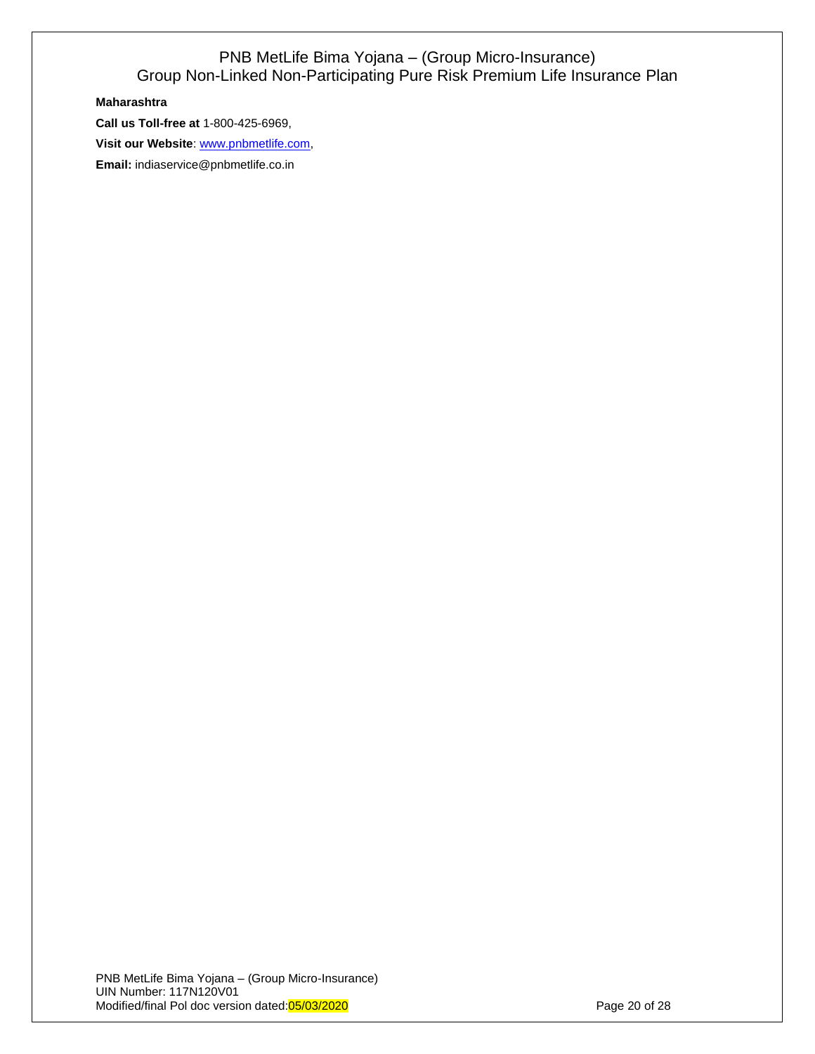#### **Maharashtra**

**Call us Toll-free at** 1-800-425-6969,

**Visit our Website**: [www.pnbmetlife.com,](http://www.pnbmetlife.com/)

**Email:** indiaservice@pnbmetlife.co.in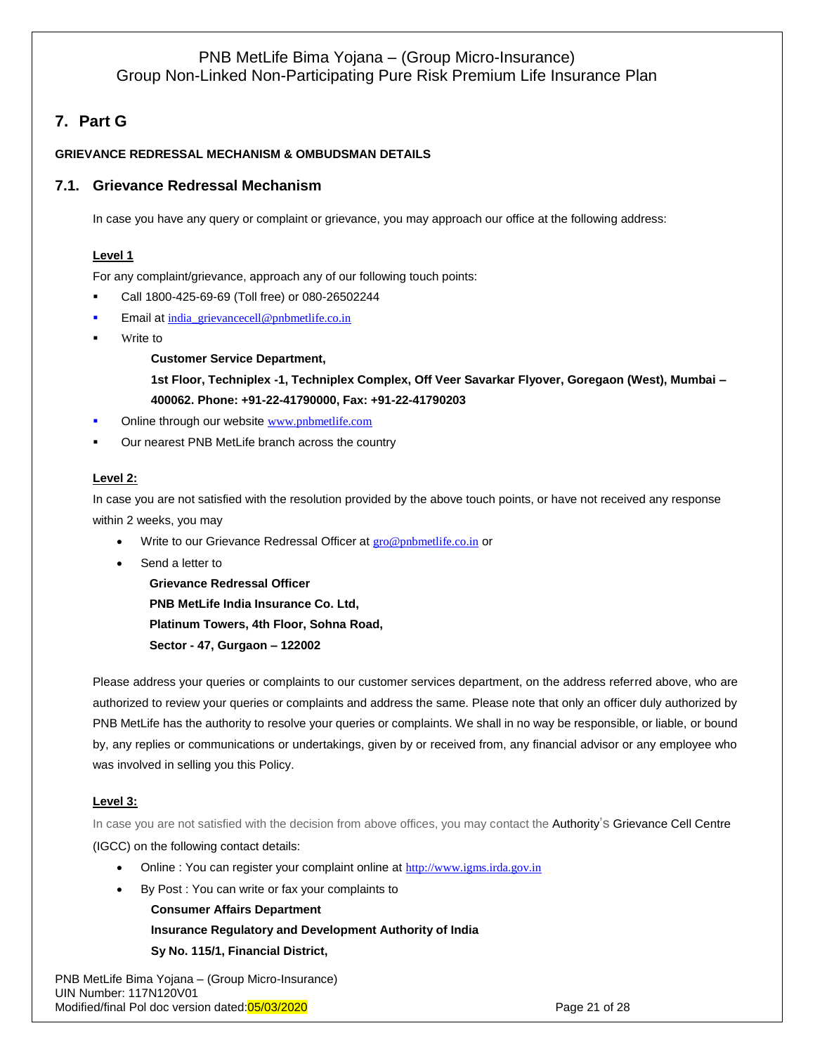# <span id="page-20-0"></span>**7. Part G**

## <span id="page-20-1"></span>**GRIEVANCE REDRESSAL MECHANISM & OMBUDSMAN DETAILS**

## **7.1. Grievance Redressal Mechanism**

In case you have any query or complaint or grievance, you may approach our office at the following address:

#### **Level 1**

For any complaint/grievance, approach any of our following touch points:

- Call 1800-425-69-69 (Toll free) or 080-26502244
- Email at [india\\_grievancecell@pnbmetlife.co.in](mailto:india_grievancecell@pnbmetlife.co.in)
- Write to

**Customer Service Department,** 

**1st Floor, Techniplex -1, Techniplex Complex, Off Veer Savarkar Flyover, Goregaon (West), Mumbai – 400062. Phone: +91-22-41790000, Fax: +91-22-41790203**

- Online through our website [www.pnbmetlife.com](http://www.pnbmetlife.com/)
- Our nearest PNB MetLife branch across the country

#### **Level 2:**

In case you are not satisfied with the resolution provided by the above touch points, or have not received any response within 2 weeks, you may

- Write to our Grievance Redressal Officer at [gro@pnbmetlife.co.in](mailto:gro@pnbmetlife.co.in) or
- Send a letter to

**Grievance Redressal Officer PNB MetLife India Insurance Co. Ltd, Platinum Towers, 4th Floor, Sohna Road, Sector - 47, Gurgaon – 122002**

Please address your queries or complaints to our customer services department, on the address referred above, who are authorized to review your queries or complaints and address the same. Please note that only an officer duly authorized by PNB MetLife has the authority to resolve your queries or complaints. We shall in no way be responsible, or liable, or bound by, any replies or communications or undertakings, given by or received from, any financial advisor or any employee who was involved in selling you this Policy.

## **Level 3:**

In case you are not satisfied with the decision from above offices, you may contact the Authority's Grievance Cell Centre (IGCC) on the following contact details:

- Online : You can register your complaint online at [http://www.igms.irda.gov.in](http://www.igms.irda.gov.in/)
- By Post : You can write or fax your complaints to

**Consumer Affairs Department Insurance Regulatory and Development Authority of India Sy No. 115/1, Financial District,**

PNB MetLife Bima Yojana – (Group Micro-Insurance) UIN Number: 117N120V01 Modified/final Pol doc version dated:05/03/2020 **Page 21 of 28** Page 21 of 28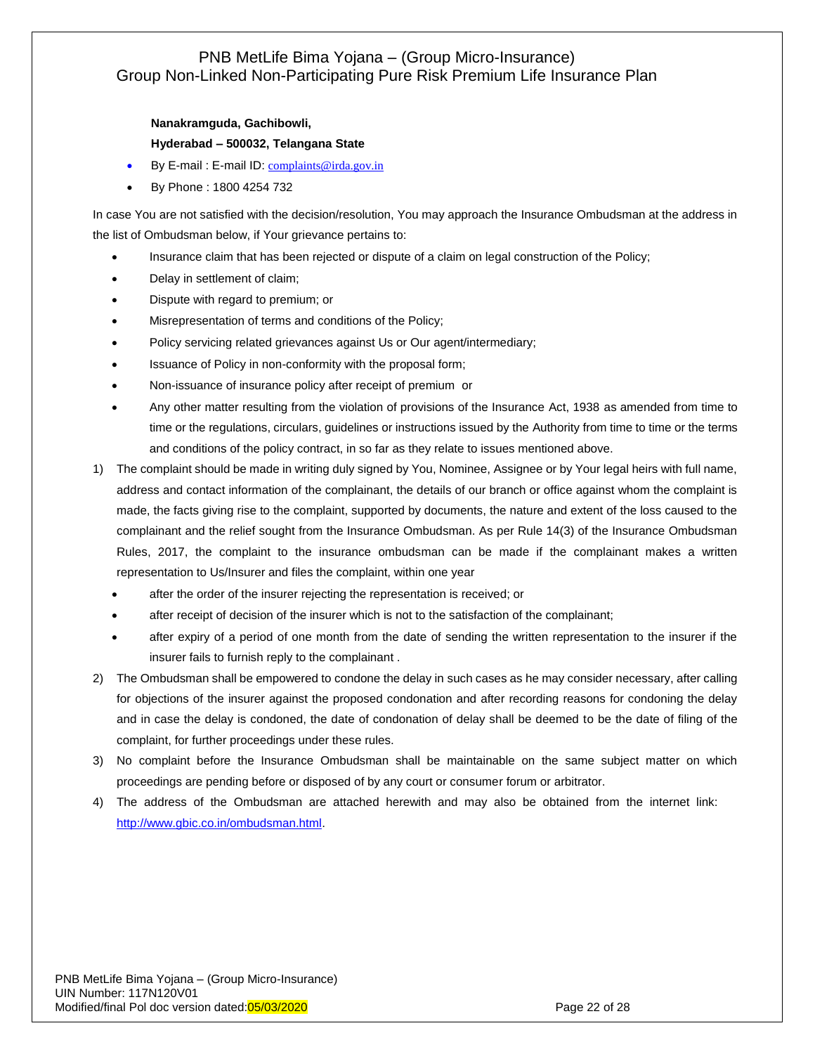## **Nanakramguda, Gachibowli, Hyderabad – 500032, Telangana State**

- By E-mail : E-mail ID: [complaints@irda.gov.in](mailto:complaints@irda.gov.in)
- By Phone : 1800 4254 732

In case You are not satisfied with the decision/resolution, You may approach the Insurance Ombudsman at the address in the list of Ombudsman below, if Your grievance pertains to:

- Insurance claim that has been rejected or dispute of a claim on legal construction of the Policy;
- Delay in settlement of claim;
- Dispute with regard to premium; or
- Misrepresentation of terms and conditions of the Policy;
- Policy servicing related grievances against Us or Our agent/intermediary;
- Issuance of Policy in non-conformity with the proposal form;
- Non-issuance of insurance policy after receipt of premium or
- Any other matter resulting from the violation of provisions of the Insurance Act, 1938 as amended from time to time or the regulations, circulars, guidelines or instructions issued by the Authority from time to time or the terms and conditions of the policy contract, in so far as they relate to issues mentioned above.
- 1) The complaint should be made in writing duly signed by You, Nominee, Assignee or by Your legal heirs with full name, address and contact information of the complainant, the details of our branch or office against whom the complaint is made, the facts giving rise to the complaint, supported by documents, the nature and extent of the loss caused to the complainant and the relief sought from the Insurance Ombudsman. As per Rule 14(3) of the Insurance Ombudsman Rules, 2017, the complaint to the insurance ombudsman can be made if the complainant makes a written representation to Us/Insurer and files the complaint, within one year
	- after the order of the insurer rejecting the representation is received; or
	- after receipt of decision of the insurer which is not to the satisfaction of the complainant;
	- after expiry of a period of one month from the date of sending the written representation to the insurer if the insurer fails to furnish reply to the complainant .
- 2) The Ombudsman shall be empowered to condone the delay in such cases as he may consider necessary, after calling for objections of the insurer against the proposed condonation and after recording reasons for condoning the delay and in case the delay is condoned, the date of condonation of delay shall be deemed to be the date of filing of the complaint, for further proceedings under these rules.
- 3) No complaint before the Insurance Ombudsman shall be maintainable on the same subject matter on which proceedings are pending before or disposed of by any court or consumer forum or arbitrator.
- 4) The address of the Ombudsman are attached herewith and may also be obtained from the internet link: [http://www.gbic.co.in/ombudsman.html.](http://www.gbic.co.in/ombudsman.html)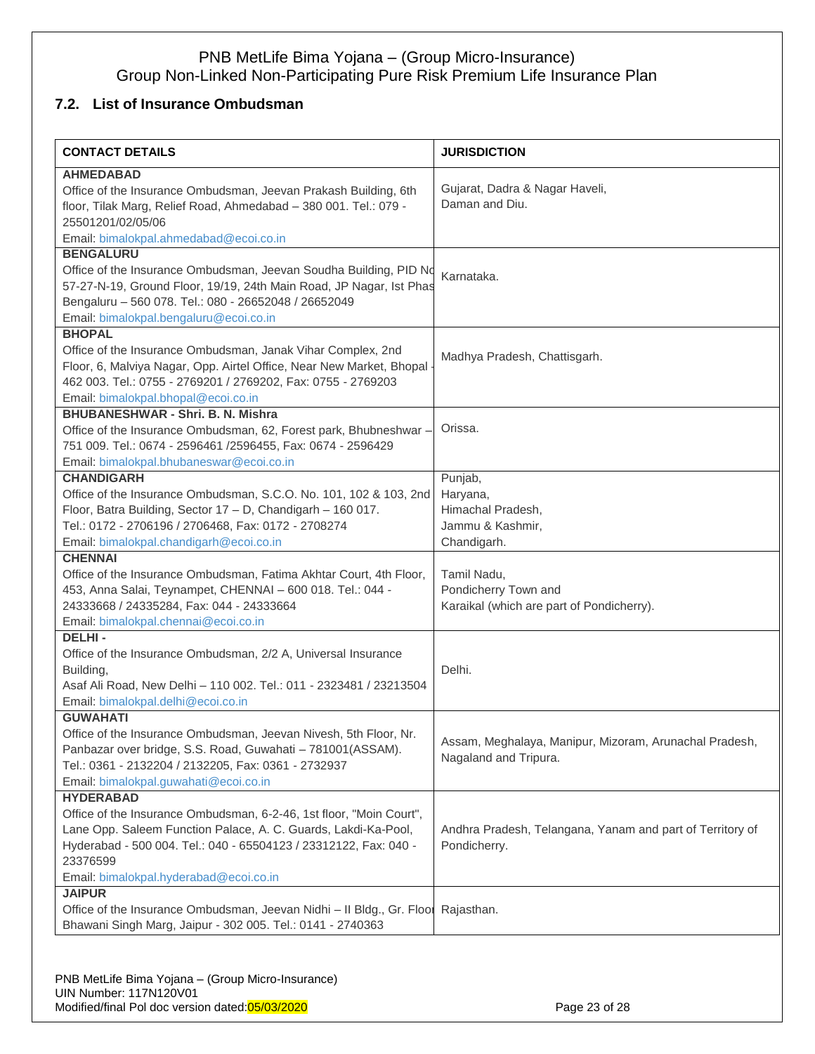# <span id="page-22-0"></span>**7.2. List of Insurance Ombudsman**

| <b>CONTACT DETAILS</b>                                                                                                                | <b>JURISDICTION</b>                                       |
|---------------------------------------------------------------------------------------------------------------------------------------|-----------------------------------------------------------|
| <b>AHMEDABAD</b>                                                                                                                      |                                                           |
| Office of the Insurance Ombudsman, Jeevan Prakash Building, 6th                                                                       | Gujarat, Dadra & Nagar Haveli,                            |
| floor, Tilak Marg, Relief Road, Ahmedabad - 380 001. Tel.: 079 -                                                                      | Daman and Diu.                                            |
| 25501201/02/05/06                                                                                                                     |                                                           |
| Email: bimalokpal.ahmedabad@ecoi.co.in                                                                                                |                                                           |
| <b>BENGALURU</b>                                                                                                                      |                                                           |
| Office of the Insurance Ombudsman, Jeevan Soudha Building, PID No                                                                     | Karnataka.                                                |
| 57-27-N-19, Ground Floor, 19/19, 24th Main Road, JP Nagar, Ist Phas                                                                   |                                                           |
| Bengaluru - 560 078. Tel.: 080 - 26652048 / 26652049                                                                                  |                                                           |
| Email: bimalokpal.bengaluru@ecoi.co.in                                                                                                |                                                           |
| <b>BHOPAL</b>                                                                                                                         |                                                           |
| Office of the Insurance Ombudsman, Janak Vihar Complex, 2nd                                                                           | Madhya Pradesh, Chattisgarh.                              |
| Floor, 6, Malviya Nagar, Opp. Airtel Office, Near New Market, Bhopal                                                                  |                                                           |
| 462 003. Tel.: 0755 - 2769201 / 2769202, Fax: 0755 - 2769203                                                                          |                                                           |
| Email: bimalokpal.bhopal@ecoi.co.in                                                                                                   |                                                           |
| <b>BHUBANESHWAR - Shri. B. N. Mishra</b>                                                                                              |                                                           |
| Office of the Insurance Ombudsman, 62, Forest park, Bhubneshwar -                                                                     | Orissa.                                                   |
| 751 009. Tel.: 0674 - 2596461 /2596455, Fax: 0674 - 2596429                                                                           |                                                           |
| Email: bimalokpal.bhubaneswar@ecoi.co.in                                                                                              |                                                           |
| <b>CHANDIGARH</b>                                                                                                                     | Punjab,                                                   |
| Office of the Insurance Ombudsman, S.C.O. No. 101, 102 & 103, 2nd                                                                     | Haryana,                                                  |
| Floor, Batra Building, Sector 17 - D, Chandigarh - 160 017.                                                                           | Himachal Pradesh,                                         |
| Tel.: 0172 - 2706196 / 2706468, Fax: 0172 - 2708274                                                                                   | Jammu & Kashmir,                                          |
| Email: bimalokpal.chandigarh@ecoi.co.in                                                                                               | Chandigarh.                                               |
| <b>CHENNAI</b>                                                                                                                        |                                                           |
| Office of the Insurance Ombudsman, Fatima Akhtar Court, 4th Floor,                                                                    | Tamil Nadu,                                               |
| 453, Anna Salai, Teynampet, CHENNAI - 600 018. Tel.: 044 -                                                                            | Pondicherry Town and                                      |
| 24333668 / 24335284, Fax: 044 - 24333664                                                                                              | Karaikal (which are part of Pondicherry).                 |
| Email: bimalokpal.chennai@ecoi.co.in                                                                                                  |                                                           |
| <b>DELHI-</b>                                                                                                                         |                                                           |
| Office of the Insurance Ombudsman, 2/2 A, Universal Insurance                                                                         |                                                           |
| Building,                                                                                                                             | Delhi.                                                    |
| Asaf Ali Road, New Delhi - 110 002. Tel.: 011 - 2323481 / 23213504                                                                    |                                                           |
| Email: bimalokpal.delhi@ecoi.co.in<br><b>GUWAHATI</b>                                                                                 |                                                           |
|                                                                                                                                       |                                                           |
| Office of the Insurance Ombudsman, Jeevan Nivesh, 5th Floor, Nr.                                                                      | Assam, Meghalaya, Manipur, Mizoram, Arunachal Pradesh,    |
| Panbazar over bridge, S.S. Road, Guwahati - 781001(ASSAM).                                                                            | Nagaland and Tripura.                                     |
| Tel.: 0361 - 2132204 / 2132205, Fax: 0361 - 2732937                                                                                   |                                                           |
| Email: bimalokpal.guwahati@ecoi.co.in<br><b>HYDERABAD</b>                                                                             |                                                           |
|                                                                                                                                       |                                                           |
| Office of the Insurance Ombudsman, 6-2-46, 1st floor, "Moin Court",<br>Lane Opp. Saleem Function Palace, A. C. Guards, Lakdi-Ka-Pool, | Andhra Pradesh, Telangana, Yanam and part of Territory of |
|                                                                                                                                       |                                                           |
| Hyderabad - 500 004. Tel.: 040 - 65504123 / 23312122, Fax: 040 -<br>23376599                                                          | Pondicherry.                                              |
| Email: bimalokpal.hyderabad@ecoi.co.in                                                                                                |                                                           |
| <b>JAIPUR</b>                                                                                                                         |                                                           |
| Office of the Insurance Ombudsman, Jeevan Nidhi - Il Bldg., Gr. Floor                                                                 | Rajasthan.                                                |
| Bhawani Singh Marg, Jaipur - 302 005. Tel.: 0141 - 2740363                                                                            |                                                           |
|                                                                                                                                       |                                                           |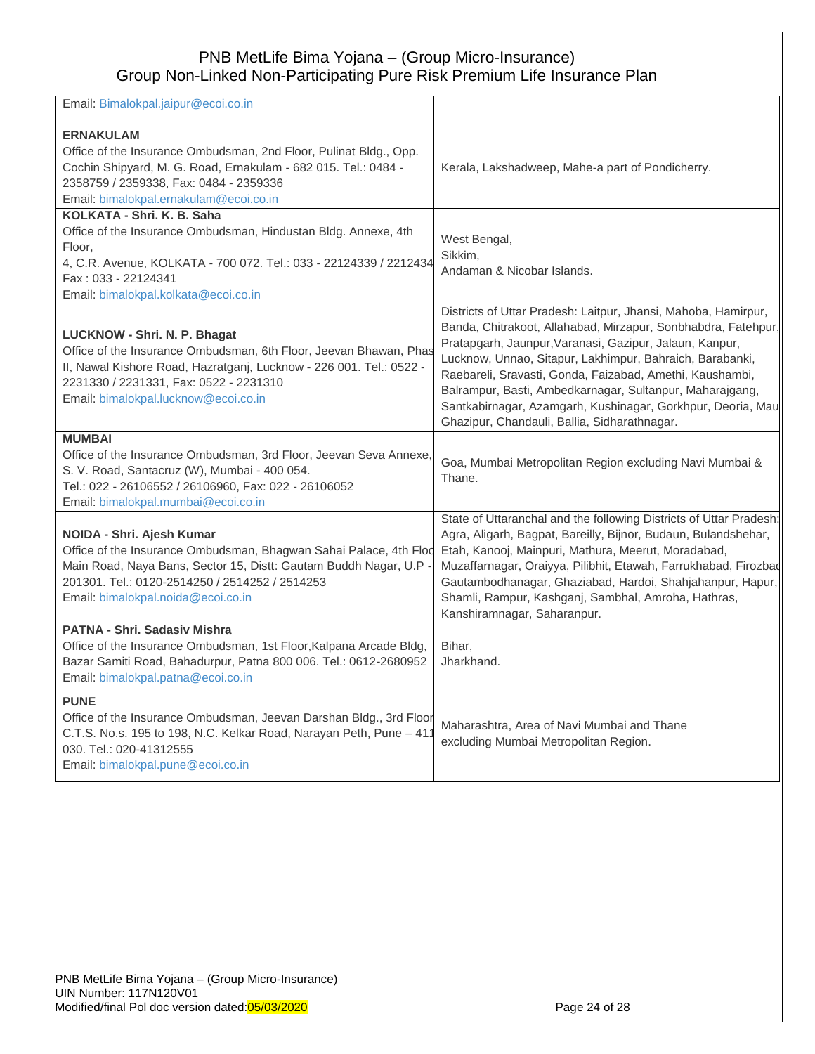| Email: Bimalokpal.jaipur@ecoi.co.in                                                                                                                                                                                                                         |                                                                                                                                                                                                                                                                                                                                                                                                                                                                                               |
|-------------------------------------------------------------------------------------------------------------------------------------------------------------------------------------------------------------------------------------------------------------|-----------------------------------------------------------------------------------------------------------------------------------------------------------------------------------------------------------------------------------------------------------------------------------------------------------------------------------------------------------------------------------------------------------------------------------------------------------------------------------------------|
| <b>ERNAKULAM</b><br>Office of the Insurance Ombudsman, 2nd Floor, Pulinat Bldg., Opp.<br>Cochin Shipyard, M. G. Road, Ernakulam - 682 015. Tel.: 0484 -<br>2358759 / 2359338, Fax: 0484 - 2359336<br>Email: bimalokpal.ernakulam@ecoi.co.in                 | Kerala, Lakshadweep, Mahe-a part of Pondicherry.                                                                                                                                                                                                                                                                                                                                                                                                                                              |
| KOLKATA - Shri. K. B. Saha<br>Office of the Insurance Ombudsman, Hindustan Bldg. Annexe, 4th<br>Floor.<br>4, C.R. Avenue, KOLKATA - 700 072. Tel.: 033 - 22124339 / 2212434<br>Fax: 033 - 22124341<br>Email: bimalokpal.kolkata@ecoi.co.in                  | West Bengal,<br>Sikkim,<br>Andaman & Nicobar Islands.                                                                                                                                                                                                                                                                                                                                                                                                                                         |
| LUCKNOW - Shri. N. P. Bhagat<br>Office of the Insurance Ombudsman, 6th Floor, Jeevan Bhawan, Phas<br>II, Nawal Kishore Road, Hazratganj, Lucknow - 226 001. Tel.: 0522 -<br>2231330 / 2231331, Fax: 0522 - 2231310<br>Email: bimalokpal.lucknow@ecoi.co.in  | Districts of Uttar Pradesh: Laitpur, Jhansi, Mahoba, Hamirpur,<br>Banda, Chitrakoot, Allahabad, Mirzapur, Sonbhabdra, Fatehpur,<br>Pratapgarh, Jaunpur, Varanasi, Gazipur, Jalaun, Kanpur,<br>Lucknow, Unnao, Sitapur, Lakhimpur, Bahraich, Barabanki,<br>Raebareli, Sravasti, Gonda, Faizabad, Amethi, Kaushambi,<br>Balrampur, Basti, Ambedkarnagar, Sultanpur, Maharajgang,<br>Santkabirnagar, Azamgarh, Kushinagar, Gorkhpur, Deoria, Mau<br>Ghazipur, Chandauli, Ballia, Sidharathnagar. |
| <b>MUMBAI</b><br>Office of the Insurance Ombudsman, 3rd Floor, Jeevan Seva Annexe,<br>S. V. Road, Santacruz (W), Mumbai - 400 054.<br>Tel.: 022 - 26106552 / 26106960, Fax: 022 - 26106052<br>Email: bimalokpal.mumbai@ecoi.co.in                           | Goa, Mumbai Metropolitan Region excluding Navi Mumbai &<br>Thane.                                                                                                                                                                                                                                                                                                                                                                                                                             |
| NOIDA - Shri. Ajesh Kumar<br>Office of the Insurance Ombudsman, Bhagwan Sahai Palace, 4th Flod<br>Main Road, Naya Bans, Sector 15, Distt: Gautam Buddh Nagar, U.P -<br>201301, Tel.: 0120-2514250 / 2514252 / 2514253<br>Email: bimalokpal.noida@ecoi.co.in | State of Uttaranchal and the following Districts of Uttar Pradesh:<br>Agra, Aligarh, Bagpat, Bareilly, Bijnor, Budaun, Bulandshehar,<br>Etah, Kanooj, Mainpuri, Mathura, Meerut, Moradabad,<br>Muzaffarnagar, Oraiyya, Pilibhit, Etawah, Farrukhabad, Firozbad<br>Gautambodhanagar, Ghaziabad, Hardoi, Shahjahanpur, Hapur,<br>Shamli, Rampur, Kashganj, Sambhal, Amroha, Hathras,<br>Kanshiramnagar, Saharanpur.                                                                             |
| PATNA - Shri. Sadasiv Mishra<br>Office of the Insurance Ombudsman, 1st Floor, Kalpana Arcade Bldg,<br>Bazar Samiti Road, Bahadurpur, Patna 800 006. Tel.: 0612-2680952<br>Email: bimalokpal.patna@ecoi.co.in                                                | Bihar.<br>Jharkhand.                                                                                                                                                                                                                                                                                                                                                                                                                                                                          |
| <b>PUNE</b><br>Office of the Insurance Ombudsman, Jeevan Darshan Bldg., 3rd Floor<br>C.T.S. No.s. 195 to 198, N.C. Kelkar Road, Narayan Peth, Pune - 411<br>030. Tel.: 020-41312555<br>Email: bimalokpal.pune@ecoi.co.in                                    | Maharashtra, Area of Navi Mumbai and Thane<br>excluding Mumbai Metropolitan Region.                                                                                                                                                                                                                                                                                                                                                                                                           |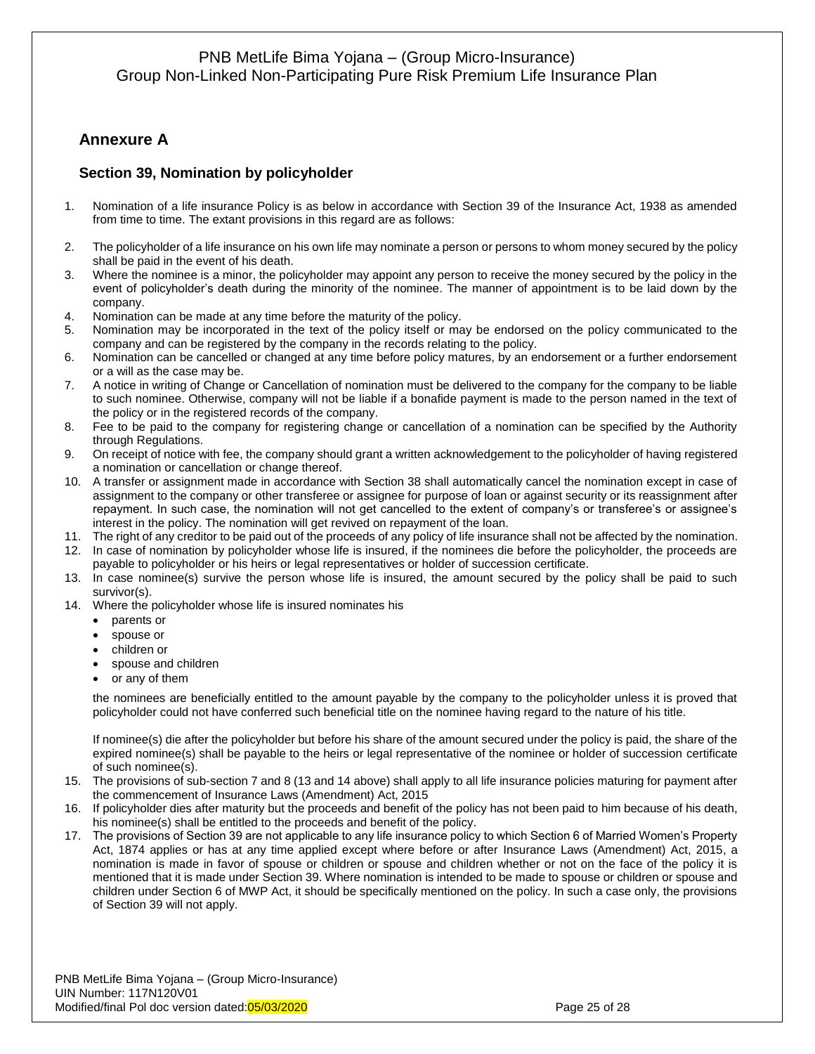# <span id="page-24-0"></span>**Annexure A**

## <span id="page-24-1"></span>**Section 39, Nomination by policyholder**

- 1. Nomination of a life insurance Policy is as below in accordance with Section 39 of the Insurance Act, 1938 as amended from time to time. The extant provisions in this regard are as follows:
- 2. The policyholder of a life insurance on his own life may nominate a person or persons to whom money secured by the policy shall be paid in the event of his death.
- 3. Where the nominee is a minor, the policyholder may appoint any person to receive the money secured by the policy in the event of policyholder's death during the minority of the nominee. The manner of appointment is to be laid down by the company.
- 4. Nomination can be made at any time before the maturity of the policy.
- 5. Nomination may be incorporated in the text of the policy itself or may be endorsed on the policy communicated to the company and can be registered by the company in the records relating to the policy.
- 6. Nomination can be cancelled or changed at any time before policy matures, by an endorsement or a further endorsement or a will as the case may be.
- 7. A notice in writing of Change or Cancellation of nomination must be delivered to the company for the company to be liable to such nominee. Otherwise, company will not be liable if a bonafide payment is made to the person named in the text of the policy or in the registered records of the company.
- 8. Fee to be paid to the company for registering change or cancellation of a nomination can be specified by the Authority through Regulations.
- 9. On receipt of notice with fee, the company should grant a written acknowledgement to the policyholder of having registered a nomination or cancellation or change thereof.
- 10. A transfer or assignment made in accordance with Section 38 shall automatically cancel the nomination except in case of assignment to the company or other transferee or assignee for purpose of loan or against security or its reassignment after repayment. In such case, the nomination will not get cancelled to the extent of company's or transferee's or assignee's interest in the policy. The nomination will get revived on repayment of the loan.
- 11. The right of any creditor to be paid out of the proceeds of any policy of life insurance shall not be affected by the nomination.
- 12. In case of nomination by policyholder whose life is insured, if the nominees die before the policyholder, the proceeds are payable to policyholder or his heirs or legal representatives or holder of succession certificate.
- 13. In case nominee(s) survive the person whose life is insured, the amount secured by the policy shall be paid to such survivor(s).
- 14. Where the policyholder whose life is insured nominates his
	- parents or
	- spouse or
	- children or
	- spouse and children
	- or any of them

the nominees are beneficially entitled to the amount payable by the company to the policyholder unless it is proved that policyholder could not have conferred such beneficial title on the nominee having regard to the nature of his title.

If nominee(s) die after the policyholder but before his share of the amount secured under the policy is paid, the share of the expired nominee(s) shall be payable to the heirs or legal representative of the nominee or holder of succession certificate of such nominee(s).

- 15. The provisions of sub-section 7 and 8 (13 and 14 above) shall apply to all life insurance policies maturing for payment after the commencement of Insurance Laws (Amendment) Act, 2015
- 16. If policyholder dies after maturity but the proceeds and benefit of the policy has not been paid to him because of his death, his nominee(s) shall be entitled to the proceeds and benefit of the policy.
- 17. The provisions of Section 39 are not applicable to any life insurance policy to which Section 6 of Married Women's Property Act, 1874 applies or has at any time applied except where before or after Insurance Laws (Amendment) Act, 2015, a nomination is made in favor of spouse or children or spouse and children whether or not on the face of the policy it is mentioned that it is made under Section 39. Where nomination is intended to be made to spouse or children or spouse and children under Section 6 of MWP Act, it should be specifically mentioned on the policy. In such a case only, the provisions of Section 39 will not apply.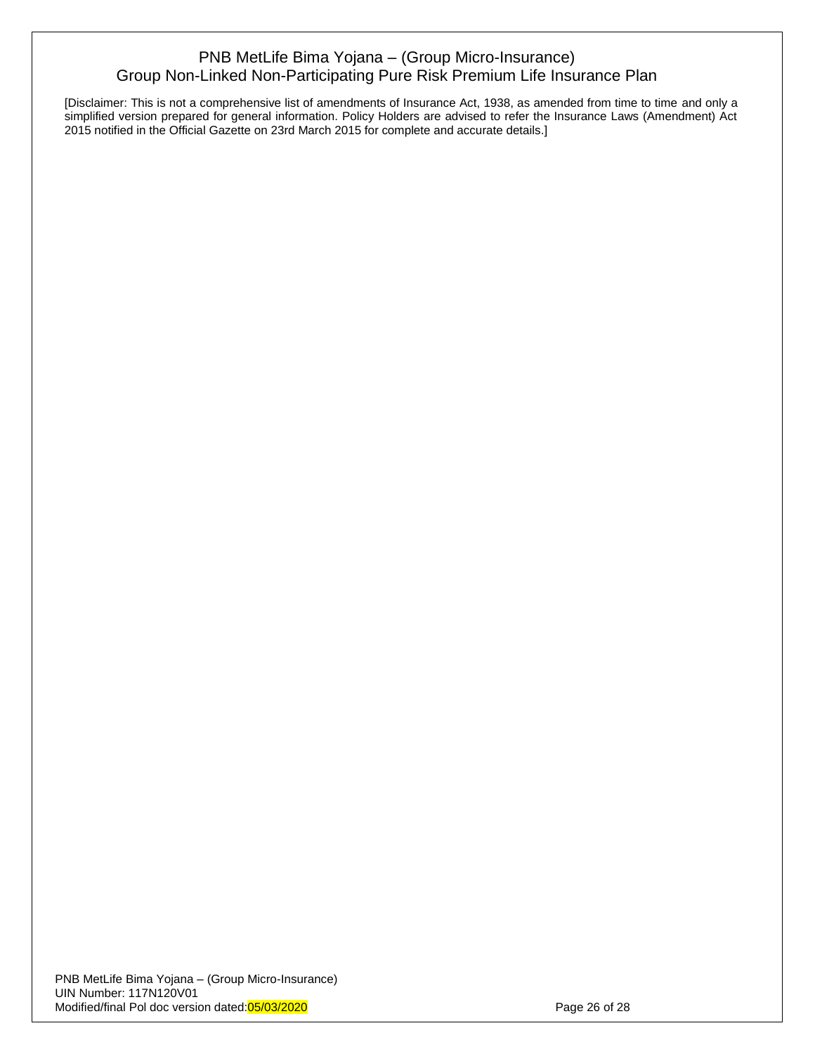[Disclaimer: This is not a comprehensive list of amendments of Insurance Act, 1938, as amended from time to time and only a simplified version prepared for general information. Policy Holders are advised to refer the Insurance Laws (Amendment) Act 2015 notified in the Official Gazette on 23rd March 2015 for complete and accurate details.]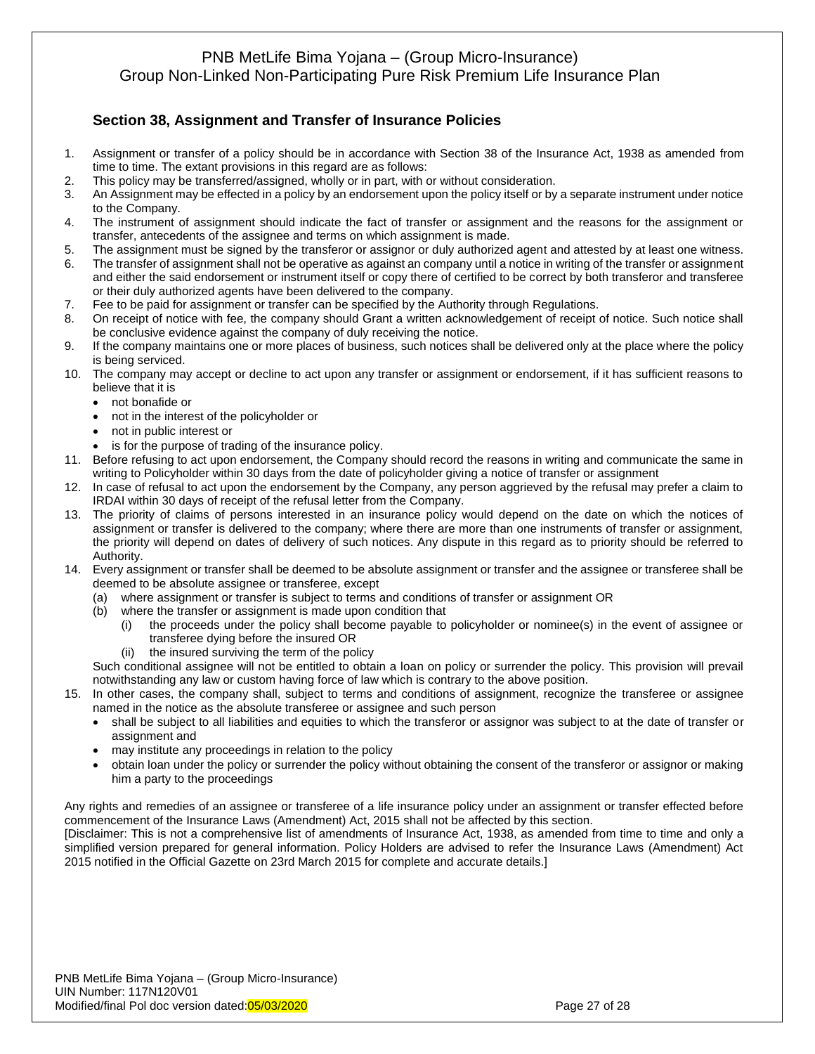## <span id="page-26-0"></span>**Section 38, Assignment and Transfer of Insurance Policies**

- 1. Assignment or transfer of a policy should be in accordance with Section 38 of the Insurance Act, 1938 as amended from time to time. The extant provisions in this regard are as follows:
- 2. This policy may be transferred/assigned, wholly or in part, with or without consideration.
- 3. An Assignment may be effected in a policy by an endorsement upon the policy itself or by a separate instrument under notice to the Company.
- 4. The instrument of assignment should indicate the fact of transfer or assignment and the reasons for the assignment or transfer, antecedents of the assignee and terms on which assignment is made.
- 5. The assignment must be signed by the transferor or assignor or duly authorized agent and attested by at least one witness.
- 6. The transfer of assignment shall not be operative as against an company until a notice in writing of the transfer or assignment and either the said endorsement or instrument itself or copy there of certified to be correct by both transferor and transferee or their duly authorized agents have been delivered to the company.
- 7. Fee to be paid for assignment or transfer can be specified by the Authority through Regulations.
- 8. On receipt of notice with fee, the company should Grant a written acknowledgement of receipt of notice. Such notice shall be conclusive evidence against the company of duly receiving the notice.
- 9. If the company maintains one or more places of business, such notices shall be delivered only at the place where the policy is being serviced.
- 10. The company may accept or decline to act upon any transfer or assignment or endorsement, if it has sufficient reasons to believe that it is
	- not bonafide or
	- not in the interest of the policyholder or
	- not in public interest or
	- is for the purpose of trading of the insurance policy.
- 11. Before refusing to act upon endorsement, the Company should record the reasons in writing and communicate the same in writing to Policyholder within 30 days from the date of policyholder giving a notice of transfer or assignment
- 12. In case of refusal to act upon the endorsement by the Company, any person aggrieved by the refusal may prefer a claim to IRDAI within 30 days of receipt of the refusal letter from the Company.
- 13. The priority of claims of persons interested in an insurance policy would depend on the date on which the notices of assignment or transfer is delivered to the company; where there are more than one instruments of transfer or assignment, the priority will depend on dates of delivery of such notices. Any dispute in this regard as to priority should be referred to Authority.
- 14. Every assignment or transfer shall be deemed to be absolute assignment or transfer and the assignee or transferee shall be deemed to be absolute assignee or transferee, except
	- (a) where assignment or transfer is subject to terms and conditions of transfer or assignment OR
	- (b) where the transfer or assignment is made upon condition that
		- (i) the proceeds under the policy shall become payable to policyholder or nominee(s) in the event of assignee or transferee dying before the insured OR
		- (ii) the insured surviving the term of the policy

Such conditional assignee will not be entitled to obtain a loan on policy or surrender the policy. This provision will prevail notwithstanding any law or custom having force of law which is contrary to the above position.

- 15. In other cases, the company shall, subject to terms and conditions of assignment, recognize the transferee or assignee named in the notice as the absolute transferee or assignee and such person
	- shall be subject to all liabilities and equities to which the transferor or assignor was subject to at the date of transfer or assignment and
	- may institute any proceedings in relation to the policy
	- obtain loan under the policy or surrender the policy without obtaining the consent of the transferor or assignor or making him a party to the proceedings

Any rights and remedies of an assignee or transferee of a life insurance policy under an assignment or transfer effected before commencement of the Insurance Laws (Amendment) Act, 2015 shall not be affected by this section.

[Disclaimer: This is not a comprehensive list of amendments of Insurance Act, 1938, as amended from time to time and only a simplified version prepared for general information. Policy Holders are advised to refer the Insurance Laws (Amendment) Act 2015 notified in the Official Gazette on 23rd March 2015 for complete and accurate details.]